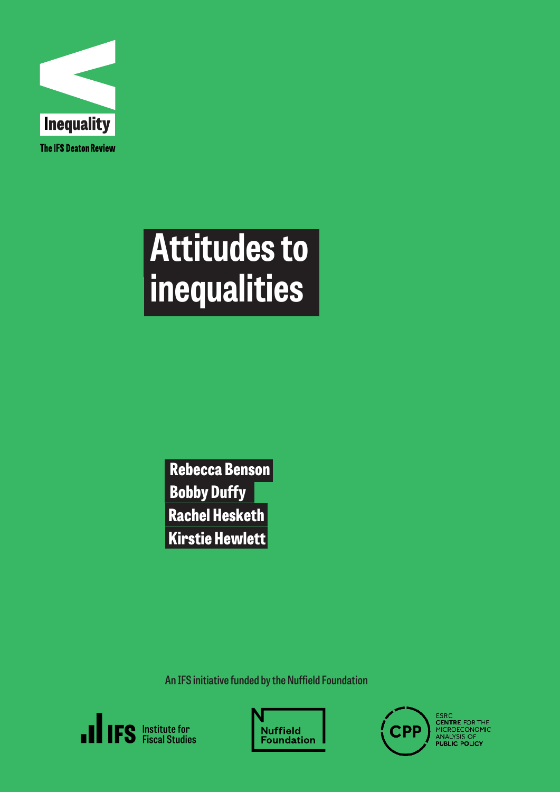

# **Attitudes to inequalities**

Rebecca Benson Bobby Duffy Rachel Hesketh Kirstie Hewlett

**An IFS initiative funded by the Nuffield Foundation**







**ESRC** CENTRE FOR THE<br>MICROECONOMIC<br>ANALYSIS OF **PUBLIC POLICY**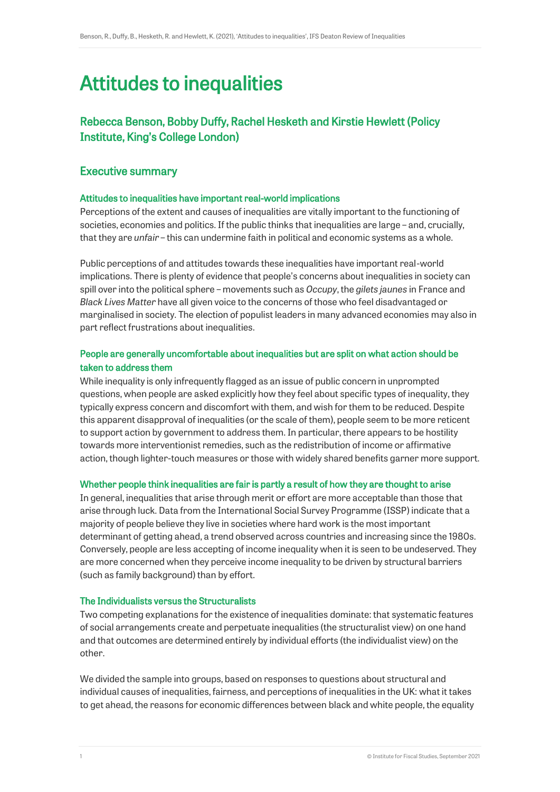# Attitudes to inequalities

# Rebecca Benson, Bobby Duffy, Rachel Hesketh and Kirstie Hewlett (Policy Institute, King's College London)

### Executive summary

#### Attitudes to inequalities have important real-world implications

Perceptions of the extent and causes of inequalities are vitally important to the functioning of societies, economies and politics. If the public thinks that inequalities are large – and, crucially, that they are *unfair –* this can undermine faith in political and economic systems as a whole.

Public perceptions of and attitudes towards these inequalities have important real-world implications. There is plenty of evidence that people's concerns about inequalities in society can spill over into the political sphere – movements such as *Occupy*, the *gilets jaunes* in France and *Black Lives Matter* have all given voice to the concerns of those who feel disadvantaged or marginalised in society. The election of populist leaders in many advanced economies may also in part reflect frustrations about inequalities.

#### People are generally uncomfortable about inequalities but are split on what action should be taken to address them

While inequality is only infrequently flagged as an issue of public concern in unprompted questions, when people are asked explicitly how they feel about specific types of inequality, they typically express concern and discomfort with them, and wish for them to be reduced. Despite this apparent disapproval of inequalities (or the scale of them), people seem to be more reticent to support action by government to address them. In particular, there appears to be hostility towards more interventionist remedies, such as the redistribution of income or affirmative action, though lighter-touch measures or those with widely shared benefits garner more support.

#### Whether people think inequalities are fair is partly a result of how they are thought to arise

In general, inequalities that arise through merit or effort are more acceptable than those that arise through luck. Data from the International Social Survey Programme (ISSP) indicate that a majority of people believe they live in societies where hard work is the most important determinant of getting ahead, a trend observed across countries and increasing since the 1980s. Conversely, people are less accepting of income inequality when it is seen to be undeserved. They are more concerned when they perceive income inequality to be driven by structural barriers (such as family background) than by effort.

#### The Individualists versus the Structuralists

Two competing explanations for the existence of inequalities dominate: that systematic features of social arrangements create and perpetuate inequalities (the structuralist view) on one hand and that outcomes are determined entirely by individual efforts (the individualist view) on the other.

We divided the sample into groups, based on responses to questions about structural and individual causes of inequalities, fairness, and perceptions of inequalities in the UK: what it takes to get ahead, the reasons for economic differences between black and white people, the equality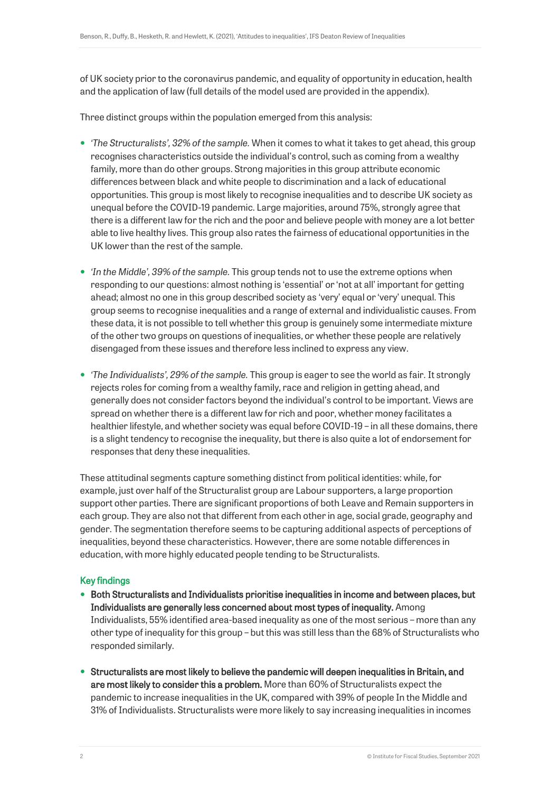of UK society prior to the coronavirus pandemic, and equality of opportunity in education, health and the application of law (full details of the model used are provided in the appendix).

Three distinct groups within the population emerged from this analysis:

- *'The Structuralists', 32% of the sample.* When it comes to what it takes to get ahead, this group recognises characteristics outside the individual's control, such as coming from a wealthy family, more than do other groups. Strong majorities in this group attribute economic differences between black and white people to discrimination and a lack of educational opportunities. This group is most likely to recognise inequalities and to describe UK society as unequal before the COVID-19 pandemic. Large majorities, around 75%, strongly agree that there is a different law for the rich and the poor and believe people with money are a lot better able to live healthy lives. This group also rates the fairness of educational opportunities in the UK lower than the rest of the sample.
- *'In the Middle', 39% of the sample.* This group tends not to use the extreme options when responding to our questions: almost nothing is 'essential' or 'not at all' important for getting ahead; almost no one in this group described society as 'very' equal or 'very' unequal. This group seems to recognise inequalities and a range of external and individualistic causes. From these data, it is not possible to tell whether this group is genuinely some intermediate mixture of the other two groups on questions of inequalities, or whether these people are relatively disengaged from these issues and therefore less inclined to express any view.
- *'The Individualists', 29% of the sample.* This group is eager to see the world as fair. It strongly rejects roles for coming from a wealthy family, race and religion in getting ahead, and generally does not consider factors beyond the individual's control to be important. Views are spread on whether there is a different law for rich and poor, whether money facilitates a healthier lifestyle, and whether society was equal before COVID-19 – in all these domains, there is a slight tendency to recognise the inequality, but there is also quite a lot of endorsement for responses that deny these inequalities.

These attitudinal segments capture something distinct from political identities: while, for example, just over half of the Structuralist group are Labour supporters, a large proportion support other parties. There are significant proportions of both Leave and Remain supporters in each group. They are also not that different from each other in age, social grade, geography and gender. The segmentation therefore seems to be capturing additional aspects of perceptions of inequalities, beyond these characteristics. However, there are some notable differences in education, with more highly educated people tending to be Structuralists.

#### Key findings

- Both Structuralists and Individualists prioritise inequalities in income and between places, but Individualists are generally less concerned about most types of inequality. Among Individualists, 55% identified area-based inequality as one of the most serious – more than any other type of inequality for this group – but this was still less than the 68% of Structuralists who responded similarly.
- Structuralists are most likely to believe the pandemic will deepen inequalities in Britain, and are most likely to consider this a problem. More than 60% of Structuralists expect the pandemic to increase inequalities in the UK, compared with 39% of people In the Middle and 31% of Individualists. Structuralists were more likely to say increasing inequalities in incomes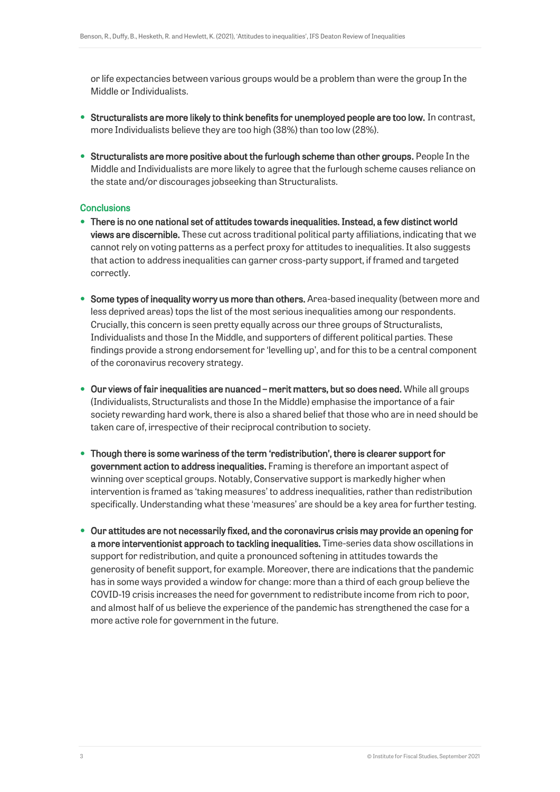or life expectancies between various groups would be a problem than were the group In the Middle or Individualists.

- Structuralists are more likely to think benefits for unemployed people are too low. In contrast, more Individualists believe they are too high (38%) than too low (28%).
- Structuralists are more positive about the furlough scheme than other groups. People In the Middle and Individualists are more likely to agree that the furlough scheme causes reliance on the state and/or discourages jobseeking than Structuralists.

#### **Conclusions**

- There is no one national set of attitudes towards inequalities. Instead, a few distinct world views are discernible. These cut across traditional political party affiliations, indicating that we cannot rely on voting patterns as a perfect proxy for attitudes to inequalities. It also suggests that action to address inequalities can garner cross-party support, if framed and targeted correctly.
- **Some types of inequality worry us more than others.** Area-based inequality (between more and less deprived areas) tops the list of the most serious inequalities among our respondents. Crucially, this concern is seen pretty equally across our three groups of Structuralists, Individualists and those In the Middle, and supporters of different political parties. These findings provide a strong endorsement for 'levelling up', and for this to be a central component of the coronavirus recovery strategy.
- Our views of fair inequalities are nuanced merit matters, but so does need. While all groups (Individualists, Structuralists and those In the Middle) emphasise the importance of a fair society rewarding hard work, there is also a shared belief that those who are in need should be taken care of, irrespective of their reciprocal contribution to society.
- Though there is some wariness of the term 'redistribution', there is clearer support for government action to address inequalities. Framing is therefore an important aspect of winning over sceptical groups. Notably, Conservative support is markedly higher when intervention is framed as 'taking measures' to address inequalities, rather than redistribution specifically. Understanding what these 'measures' are should be a key area for further testing.
- Our attitudes are not necessarily fixed, and the coronavirus crisis may provide an opening for a more interventionist approach to tackling inequalities. Time-series data show oscillations in support for redistribution, and quite a pronounced softening in attitudes towards the generosity of benefit support, for example. Moreover, there are indications that the pandemic has in some ways provided a window for change: more than a third of each group believe the COVID-19 crisis increases the need for government to redistribute income from rich to poor, and almost half of us believe the experience of the pandemic has strengthened the case for a more active role for government in the future.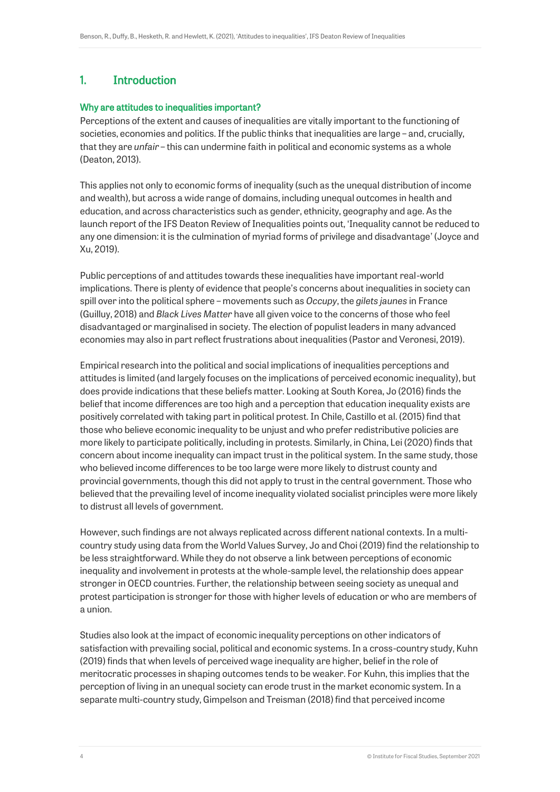# 1. Introduction

#### Why are attitudes to inequalities important?

Perceptions of the extent and causes of inequalities are vitally important to the functioning of societies, economies and politics. If the public thinks that inequalities are large – and, crucially, that they are *unfair –* this can undermine faith in political and economic systems as a whole (Deaton, 2013).

This applies not only to economic forms of inequality (such as the unequal distribution of income and wealth), but across a wide range of domains, including unequal outcomes in health and education, and across characteristics such as gender, ethnicity, geography and age. As the launch report of the IFS Deaton Review of Inequalities points out, 'Inequality cannot be reduced to any one dimension: it is the culmination of myriad forms of privilege and disadvantage' (Joyce and Xu, 2019).

Public perceptions of and attitudes towards these inequalities have important real-world implications. There is plenty of evidence that people's concerns about inequalities in society can spill over into the political sphere – movements such as *Occupy*, the *gilets jaunes* in France (Guilluy, 2018) and *Black Lives Matter* have all given voice to the concerns of those who feel disadvantaged or marginalised in society. The election of populist leaders in many advanced economies may also in part reflect frustrations about inequalities (Pastor and Veronesi, 2019).

Empirical research into the political and social implications of inequalities perceptions and attitudes is limited (and largely focuses on the implications of perceived economic inequality), but does provide indications that these beliefs matter. Looking at South Korea, Jo (2016) finds the belief that income differences are too high and a perception that education inequality exists are positively correlated with taking part in political protest. In Chile, Castillo et al. (2015) find that those who believe economic inequality to be unjust and who prefer redistributive policies are more likely to participate politically, including in protests. Similarly, in China, Lei (2020) finds that concern about income inequality can impact trust in the political system. In the same study, those who believed income differences to be too large were more likely to distrust county and provincial governments, though this did not apply to trust in the central government. Those who believed that the prevailing level of income inequality violated socialist principles were more likely to distrust all levels of government.

However, such findings are not always replicated across different national contexts. In a multicountry study using data from the World Values Survey, Jo and Choi (2019) find the relationship to be less straightforward. While they do not observe a link between perceptions of economic inequality and involvement in protests at the whole-sample level, the relationship does appear stronger in OECD countries. Further, the relationship between seeing society as unequal and protest participation is stronger for those with higher levels of education or who are members of a union.

Studies also look at the impact of economic inequality perceptions on other indicators of satisfaction with prevailing social, political and economic systems. In a cross-country study, Kuhn (2019) finds that when levels of perceived wage inequality are higher, belief in the role of meritocratic processes in shaping outcomes tends to be weaker. For Kuhn, this implies that the perception of living in an unequal society can erode trust in the market economic system. In a separate multi-country study, Gimpelson and Treisman (2018) find that perceived income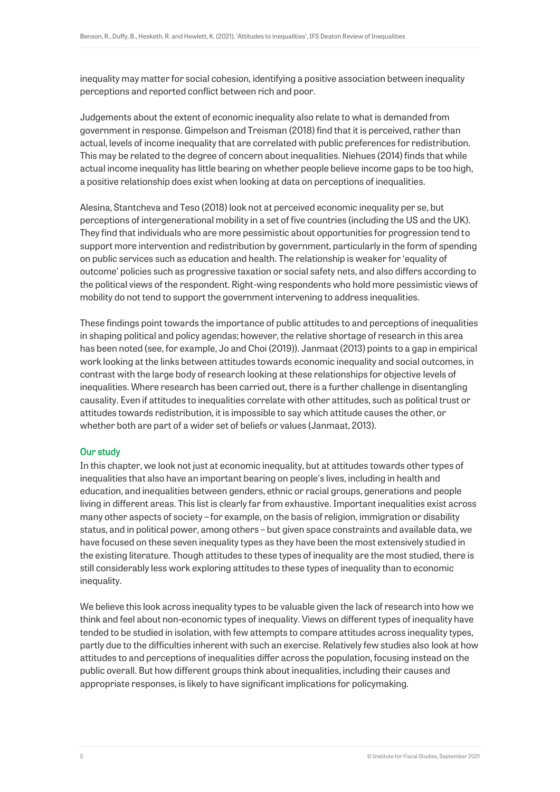inequality may matter for social cohesion, identifying a positive association between inequality perceptions and reported conflict between rich and poor.

Judgements about the extent of economic inequality also relate to what is demanded from government in response. Gimpelson and Treisman (2018) find that it is perceived, rather than actual, levels of income inequality that are correlated with public preferences for redistribution. This may be related to the degree of concern about inequalities. Niehues (2014) finds that while actual income inequality has little bearing on whether people believe income gaps to be too high, a positive relationship does exist when looking at data on perceptions of inequalities.

Alesina, Stantcheva and Teso (2018) look not at perceived economic inequality per se, but perceptions of intergenerational mobility in a set of five countries (including the US and the UK). They find that individuals who are more pessimistic about opportunities for progression tend to support more intervention and redistribution by government, particularly in the form of spending on public services such as education and health. The relationship is weaker for 'equality of outcome' policies such as progressive taxation or social safety nets, and also differs according to the political views of the respondent. Right-wing respondents who hold more pessimistic views of mobility do not tend to support the government intervening to address inequalities.

These findings point towards the importance of public attitudes to and perceptions of inequalities in shaping political and policy agendas; however, the relative shortage of research in this area has been noted (see, for example, Jo and Choi (2019)). Janmaat (2013) points to a gap in empirical work looking at the links between attitudes towards economic inequality and social outcomes, in contrast with the large body of research looking at these relationships for objective levels of inequalities. Where research has been carried out, there is a further challenge in disentangling causality. Even if attitudes to inequalities correlate with other attitudes, such as political trust or attitudes towards redistribution, it is impossible to say which attitude causes the other, or whether both are part of a wider set of beliefs or values (Janmaat, 2013).

#### Our study

In this chapter, we look not just at economic inequality, but at attitudes towards other types of inequalities that also have an important bearing on people's lives, including in health and education, and inequalities between genders, ethnic or racial groups, generations and people living in different areas. This list is clearly far from exhaustive. Important inequalities exist across many other aspects of society – for example, on the basis of religion, immigration or disability status, and in political power, among others – but given space constraints and available data, we have focused on these seven inequality types as they have been the most extensively studied in the existing literature. Though attitudes to these types of inequality are the most studied, there is still considerably less work exploring attitudes to these types of inequality than to economic inequality.

We believe this look across inequality types to be valuable given the lack of research into how we think and feel about non-economic types of inequality. Views on different types of inequality have tended to be studied in isolation, with few attempts to compare attitudes across inequality types, partly due to the difficulties inherent with such an exercise. Relatively few studies also look at how attitudes to and perceptions of inequalities differ across the population, focusing instead on the public overall. But how different groups think about inequalities, including their causes and appropriate responses, is likely to have significant implications for policymaking.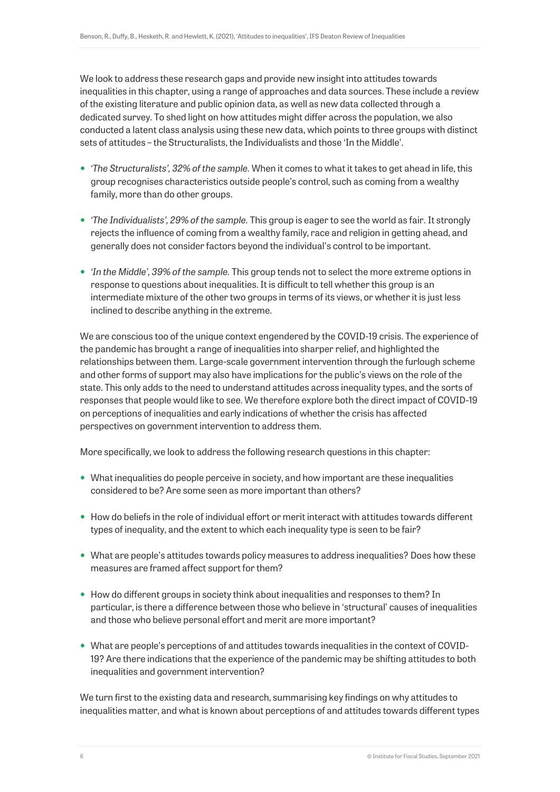We look to address these research gaps and provide new insight into attitudes towards inequalities in this chapter, using a range of approaches and data sources. These include a review of the existing literature and public opinion data, as well as new data collected through a dedicated survey. To shed light on how attitudes might differ across the population, we also conducted a latent class analysis using these new data, which points to three groups with distinct sets of attitudes – the Structuralists, the Individualists and those 'In the Middle'.

- *'The Structuralists', 32% of the sample.* When it comes to what it takes to get ahead in life, this group recognises characteristics outside people's control, such as coming from a wealthy family, more than do other groups.
- *'The Individualists', 29% of the sample.* This group is eager to see the world as fair. It strongly rejects the influence of coming from a wealthy family, race and religion in getting ahead, and generally does not consider factors beyond the individual's control to be important.
- *'In the Middle', 39% of the sample.* This group tends not to select the more extreme options in response to questions about inequalities. It is difficult to tell whether this group is an intermediate mixture of the other two groups in terms of its views, or whether it is just less inclined to describe anything in the extreme.

We are conscious too of the unique context engendered by the COVID-19 crisis. The experience of the pandemic has brought a range of inequalities into sharper relief, and highlighted the relationships between them. Large-scale government intervention through the furlough scheme and other forms of support may also have implications for the public's views on the role of the state. This only adds to the need to understand attitudes across inequality types, and the sorts of responses that people would like to see. We therefore explore both the direct impact of COVID-19 on perceptions of inequalities and early indications of whether the crisis has affected perspectives on government intervention to address them.

More specifically, we look to address the following research questions in this chapter:

- What inequalities do people perceive in society, and how important are these inequalities considered to be? Are some seen as more important than others?
- How do beliefs in the role of individual effort or merit interact with attitudes towards different types of inequality, and the extent to which each inequality type is seen to be fair?
- What are people's attitudes towards policy measures to address inequalities? Does how these measures are framed affect support for them?
- How do different groups in society think about inequalities and responses to them? In particular, is there a difference between those who believe in 'structural' causes of inequalities and those who believe personal effort and merit are more important?
- What are people's perceptions of and attitudes towards inequalities in the context of COVID-19? Are there indications that the experience of the pandemic may be shifting attitudes to both inequalities and government intervention?

We turn first to the existing data and research, summarising key findings on why attitudes to inequalities matter, and what is known about perceptions of and attitudes towards different types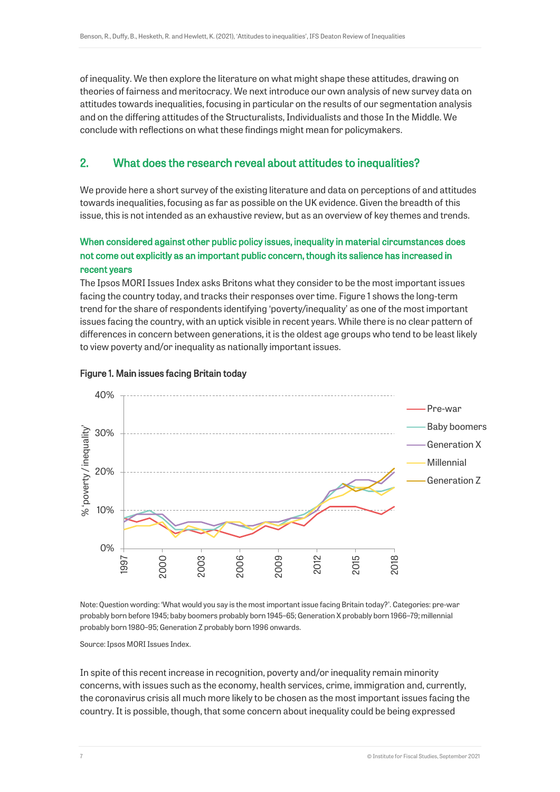of inequality. We then explore the literature on what might shape these attitudes, drawing on theories of fairness and meritocracy. We next introduce our own analysis of new survey data on attitudes towards inequalities, focusing in particular on the results of our segmentation analysis and on the differing attitudes of the Structuralists, Individualists and those In the Middle. We conclude with reflections on what these findings might mean for policymakers.

## 2. What does the research reveal about attitudes to inequalities?

We provide here a short survey of the existing literature and data on perceptions of and attitudes towards inequalities, focusing as far as possible on the UK evidence. Given the breadth of this issue, this is not intended as an exhaustive review, but as an overview of key themes and trends.

### When considered against other public policy issues, inequality in material circumstances does not come out explicitly as an important public concern, though its salience has increased in recent years

The Ipsos MORI Issues Index asks Britons what they consider to be the most important issues facing the country today, and tracks their responses over time. Figure 1 shows the long-term trend for the share of respondents identifying 'poverty/inequality' as one of the most important issues facing the country, with an uptick visible in recent years. While there is no clear pattern of differences in concern between generations, it is the oldest age groups who tend to be least likely to view poverty and/or inequality as nationally important issues.



#### Figure 1. Main issues facing Britain today

Note: Question wording: 'What would you say is the most important issue facing Britain today?'. Categories: pre-war probably born before 1945; baby boomers probably born 1945–65; Generation X probably born 1966–79; millennial probably born 1980–95; Generation Z probably born 1996 onwards.

Source: Ipsos MORI Issues Index.

In spite of this recent increase in recognition, poverty and/or inequality remain minority concerns, with issues such as the economy, health services, crime, immigration and, currently, the coronavirus crisis all much more likely to be chosen as the most important issues facing the country. It is possible, though, that some concern about inequality could be being expressed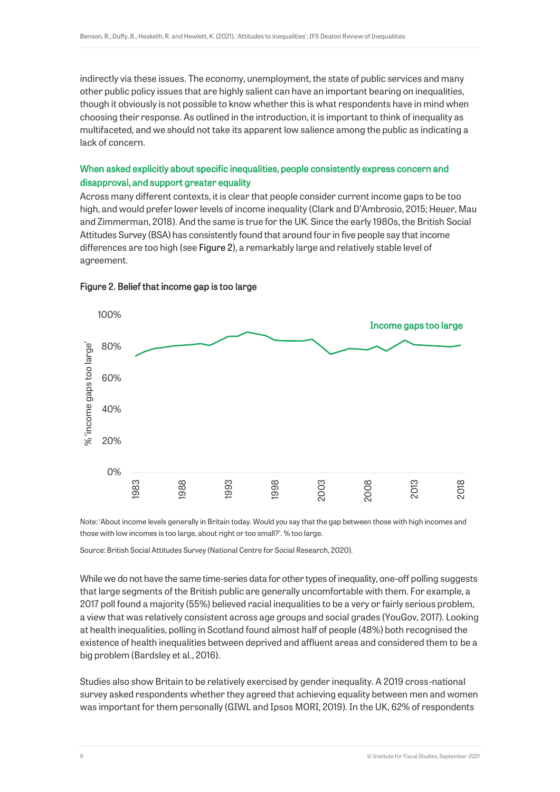indirectly via these issues. The economy, unemployment, the state of public services and many other public policy issues that are highly salient can have an important bearing on inequalities, though it obviously is not possible to know whether this is what respondents have in mind when choosing their response. As outlined in the introduction, it is important to think of inequality as multifaceted, and we should not take its apparent low salience among the public as indicating a lack of concern.

#### When asked explicitly about specific inequalities, people consistently express concern and disapproval, and support greater equality

Across many different contexts, it is clear that people consider current income gaps to be too high, and would prefer lower levels of income inequality (Clark and D'Ambrosio, 2015; Heuer, Mau and Zimmerman, 2018). And the same is true for the UK. Since the early 1980s, the British Social Attitudes Survey (BSA) has consistently found that around four in five people say that income differences are too high (see Figure 2), a remarkably large and relatively stable level of agreement.



#### Figure 2. Belief that income gap is too large

Note: 'About income levels generally in Britain today. Would you say that the gap between those with high incomes and those with low incomes is too large, about right or too small?'. % too large.

Source: British Social Attitudes Survey (National Centre for Social Research, 2020).

While we do not have the same time-series data for other types of inequality, one-off polling suggests that large segments of the British public are generally uncomfortable with them. For example, a 2017 poll found a majority (55%) believed racial inequalities to be a very or fairly serious problem, a view that was relatively consistent across age groups and social grades (YouGov, 2017). Looking at health inequalities, polling in Scotland found almost half of people (48%) both recognised the existence of health inequalities between deprived and affluent areas and considered them to be a big problem (Bardsley et al., 2016).

Studies also show Britain to be relatively exercised by gender inequality. A 2019 cross-national survey asked respondents whether they agreed that achieving equality between men and women was important for them personally (GIWL and Ipsos MORI, 2019). In the UK, 62% of respondents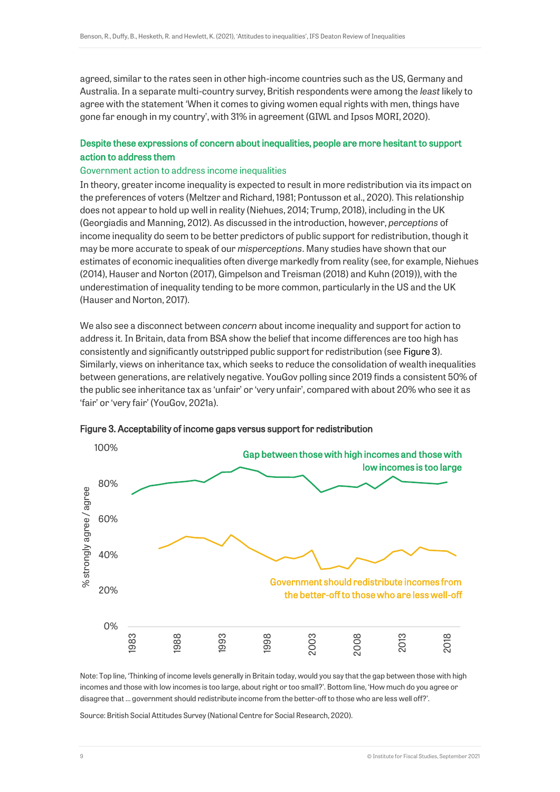agreed, similar to the rates seen in other high-income countries such as the US, Germany and Australia. In a separate multi-country survey, British respondents were among the *least* likely to agree with the statement 'When it comes to giving women equal rights with men, things have gone far enough in my country', with 31% in agreement (GIWL and Ipsos MORI, 2020).

#### Despite these expressions of concern about inequalities, people are more hesitant to support action to address them

#### Government action to address income inequalities

In theory, greater income inequality is expected to result in more redistribution via its impact on the preferences of voters (Meltzer and Richard, 1981; Pontusson et al., 2020). This relationship does not appear to hold up well in reality (Niehues, 2014; Trump, 2018), including in the UK (Georgiadis and Manning, 2012). As discussed in the introduction, however, *perceptions* of income inequality do seem to be better predictors of public support for redistribution, though it may be more accurate to speak of our *misperceptions*. Many studies have shown that our estimates of economic inequalities often diverge markedly from reality (see, for example, Niehues (2014), Hauser and Norton (2017), Gimpelson and Treisman (2018) and Kuhn (2019)), with the underestimation of inequality tending to be more common, particularly in the US and the UK (Hauser and Norton, 2017).

We also see a disconnect between *concern* about income inequality and support for action to address it. In Britain, data from BSA show the belief that income differences are too high has consistently and significantly outstripped public support for redistribution (see Figure 3). Similarly, views on inheritance tax, which seeks to reduce the consolidation of wealth inequalities between generations, are relatively negative. YouGov polling since 2019 finds a consistent 50% of the public see inheritance tax as 'unfair' or 'very unfair', compared with about 20% who see it as 'fair' or 'very fair' (YouGov, 2021a).



Figure 3. Acceptability of income gaps versus support for redistribution

Note: Top line, 'Thinking of income levels generally in Britain today, would you say that the gap between those with high incomes and those with low incomes is too large, about right or too small?'. Bottom line, 'How much do you agree or disagree that … government should redistribute income from the better-off to those who are less well off?'.

Source: British Social Attitudes Survey (National Centre for Social Research, 2020).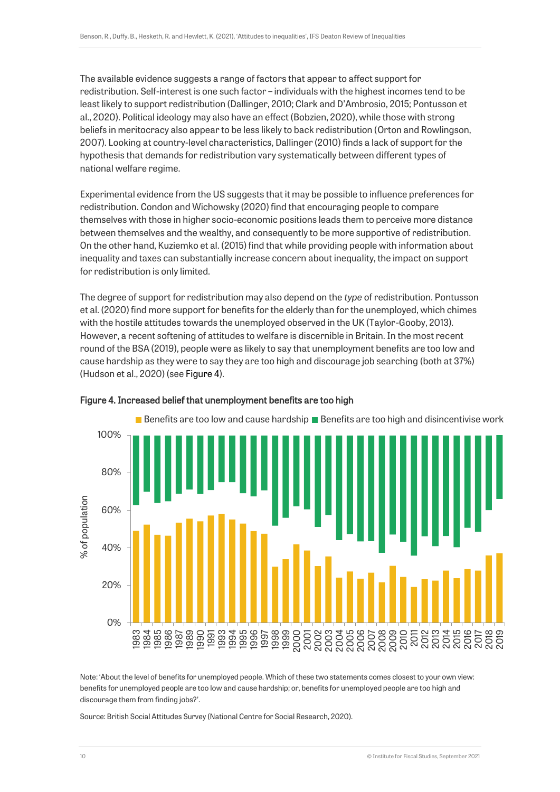The available evidence suggests a range of factors that appear to affect support for redistribution. Self-interest is one such factor – individuals with the highest incomes tend to be least likely to support redistribution (Dallinger, 2010; Clark and D'Ambrosio, 2015; Pontusson et al., 2020). Political ideology may also have an effect (Bobzien, 2020), while those with strong beliefs in meritocracy also appear to be less likely to back redistribution (Orton and Rowlingson, 2007). Looking at country-level characteristics, Dallinger (2010) finds a lack of support for the hypothesis that demands for redistribution vary systematically between different types of national welfare regime.

Experimental evidence from the US suggests that it may be possible to influence preferences for redistribution. Condon and Wichowsky (2020) find that encouraging people to compare themselves with those in higher socio-economic positions leads them to perceive more distance between themselves and the wealthy, and consequently to be more supportive of redistribution. On the other hand, Kuziemko et al. (2015) find that while providing people with information about inequality and taxes can substantially increase concern about inequality, the impact on support for redistribution is only limited.

The degree of support for redistribution may also depend on the *type* of redistribution. Pontusson et al. (2020) find more support for benefits for the elderly than for the unemployed, which chimes with the hostile attitudes towards the unemployed observed in the UK (Taylor-Gooby, 2013). However, a recent softening of attitudes to welfare is discernible in Britain. In the most recent round of the BSA (2019), people were as likely to say that unemployment benefits are too low and cause hardship as they were to say they are too high and discourage job searching (both at 37%) (Hudson et al., 2020) (see Figure 4).



#### Figure 4. Increased belief that unemployment benefits are too high

Note: 'About the level of benefits for unemployed people. Which of these two statements comes closest to your own view: benefits for unemployed people are too low and cause hardship; or, benefits for unemployed people are too high and discourage them from finding jobs?'.

Source: British Social Attitudes Survey (National Centre for Social Research, 2020).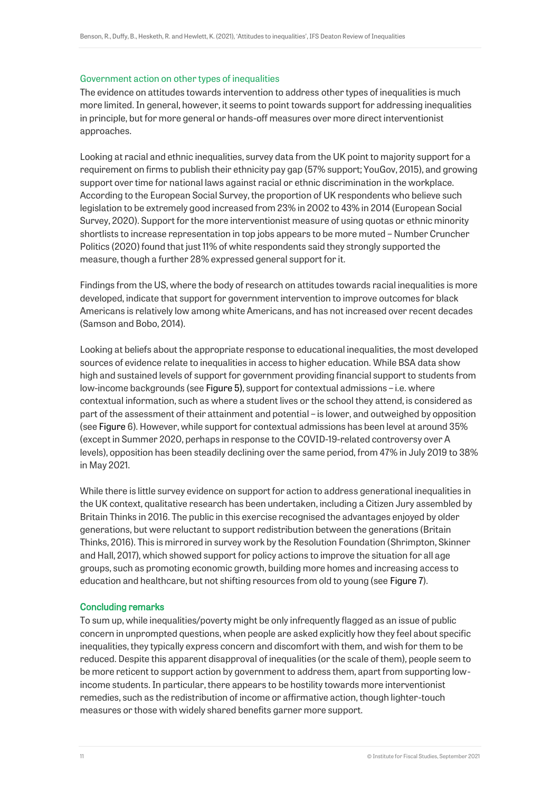#### Government action on other types of inequalities

The evidence on attitudes towards intervention to address other types of inequalities is much more limited. In general, however, it seems to point towards support for addressing inequalities in principle, but for more general or hands-off measures over more direct interventionist approaches.

Looking at racial and ethnic inequalities, survey data from the UK point to majority support for a requirement on firms to publish their ethnicity pay gap (57% support; YouGov, 2015), and growing support over time for national laws against racial or ethnic discrimination in the workplace. According to the European Social Survey, the proportion of UK respondents who believe such legislation to be extremely good increased from 23% in 2002 to 43% in 2014 (European Social Survey, 2020). Support for the more interventionist measure of using quotas or ethnic minority shortlists to increase representation in top jobs appears to be more muted – Number Cruncher Politics (2020) found that just 11% of white respondents said they strongly supported the measure, though a further 28% expressed general support for it.

Findings from the US, where the body of research on attitudes towards racial inequalities is more developed, indicate that support for government intervention to improve outcomes for black Americans is relatively low among white Americans, and has not increased over recent decades (Samson and Bobo, 2014).

Looking at beliefs about the appropriate response to educational inequalities, the most developed sources of evidence relate to inequalities in access to higher education. While BSA data show high and sustained levels of support for government providing financial support to students from low-income backgrounds (see Figure 5), support for contextual admissions – i.e. where contextual information, such as where a student lives or the school they attend, is considered as part of the assessment of their attainment and potential – is lower, and outweighed by opposition (see Figure 6). However, while support for contextual admissions has been level at around 35% (except in Summer 2020, perhaps in response to the COVID-19-related controversy over A levels), opposition has been steadily declining over the same period, from 47% in July 2019 to 38% in May 2021.

While there is little survey evidence on support for action to address generational inequalities in the UK context, qualitative research has been undertaken, including a Citizen Jury assembled by Britain Thinks in 2016. The public in this exercise recognised the advantages enjoyed by older generations, but were reluctant to support redistribution between the generations (Britain Thinks, 2016). This is mirrored in survey work by the Resolution Foundation (Shrimpton, Skinner and Hall, 2017), which showed support for policy actions to improve the situation for all age groups, such as promoting economic growth, building more homes and increasing access to education and healthcare, but not shifting resources from old to young (see Figure 7).

#### Concluding remarks

To sum up, while inequalities/poverty might be only infrequently flagged as an issue of public concern in unprompted questions, when people are asked explicitly how they feel about specific inequalities, they typically express concern and discomfort with them, and wish for them to be reduced. Despite this apparent disapproval of inequalities (or the scale of them), people seem to be more reticent to support action by government to address them, apart from supporting lowincome students. In particular, there appears to be hostility towards more interventionist remedies, such as the redistribution of income or affirmative action, though lighter-touch measures or those with widely shared benefits garner more support.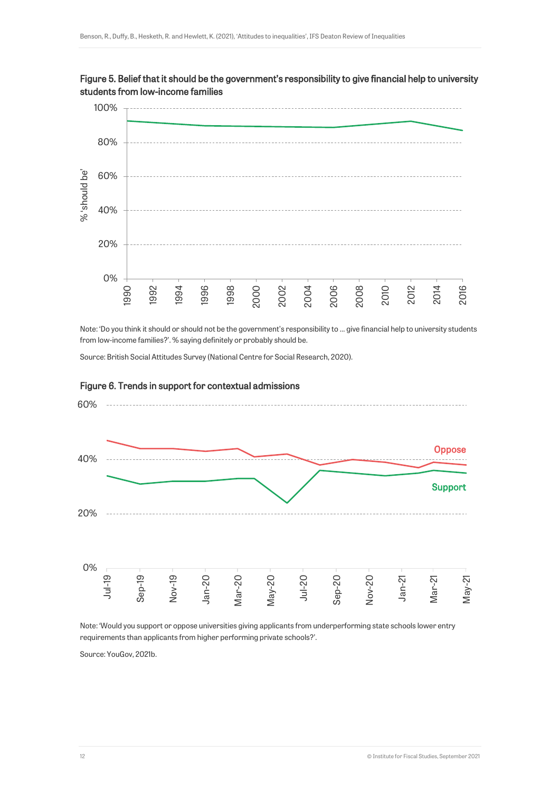

Figure 5. Belief that it should be the government's responsibility to give financial help to university students from low-income families

Note: 'Do you think it should or should not be the government's responsibility to … give financial help to university students from low-income families?'. % saying definitely or probably should be.

Source: British Social Attitudes Survey (National Centre for Social Research, 2020).



#### Figure 6. Trends in support for contextual admissions

Note: 'Would you support or oppose universities giving applicants from underperforming state schools lower entry requirements than applicants from higher performing private schools?'.

Source: YouGov, 2021b.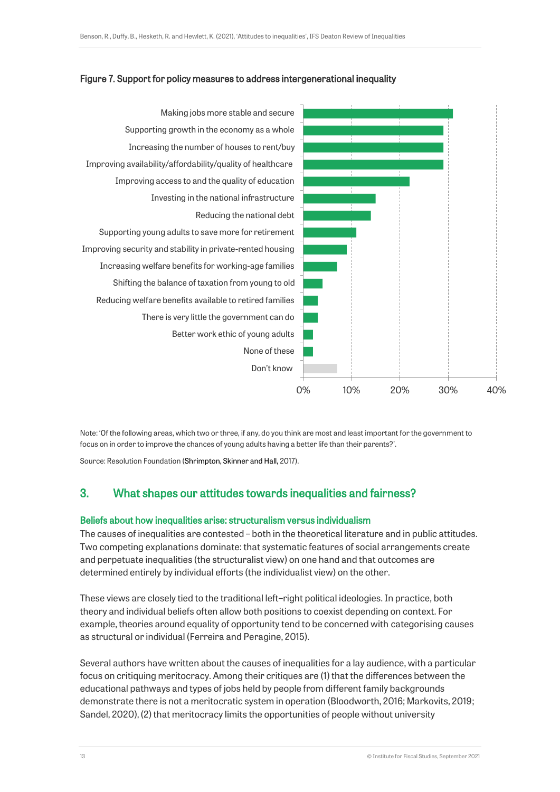

#### Figure 7. Support for policy measures to address intergenerational inequality

Note: 'Of the following areas, which two or three, if any, do you think are most and least important for the government to focus on in order to improve the chances of young adults having a better life than their parents?'.

Source: Resolution Foundation (Shrimpton, Skinner and Hall, 2017).

### 3. What shapes our attitudes towards inequalities and fairness?

#### Beliefs about how inequalities arise: structuralism versus individualism

The causes of inequalities are contested – both in the theoretical literature and in public attitudes. Two competing explanations dominate: that systematic features of social arrangements create and perpetuate inequalities (the structuralist view) on one hand and that outcomes are determined entirely by individual efforts (the individualist view) on the other.

These views are closely tied to the traditional left–right political ideologies. In practice, both theory and individual beliefs often allow both positions to coexist depending on context. For example, theories around equality of opportunity tend to be concerned with categorising causes as structural or individual (Ferreira and Peragine, 2015).

Several authors have written about the causes of inequalities for a lay audience, with a particular focus on critiquing meritocracy. Among their critiques are (1) that the differences between the educational pathways and types of jobs held by people from different family backgrounds demonstrate there is not a meritocratic system in operation (Bloodworth, 2016; Markovits, 2019; Sandel, 2020), (2) that meritocracy limits the opportunities of people without university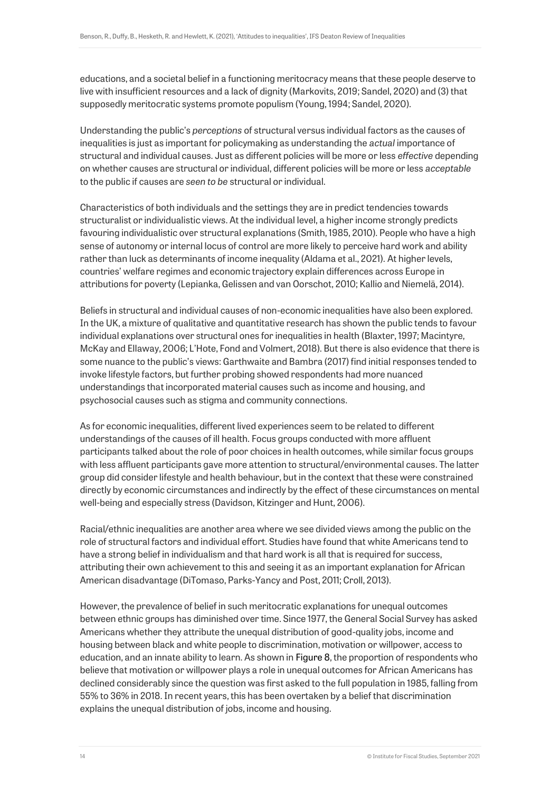educations, and a societal belief in a functioning meritocracy means that these people deserve to live with insufficient resources and a lack of dignity (Markovits, 2019; Sandel, 2020) and (3) that supposedly meritocratic systems promote populism (Young, 1994; Sandel, 2020).

Understanding the public's *perceptions* of structural versus individual factors as the causes of inequalities is just as important for policymaking as understanding the *actual* importance of structural and individual causes. Just as different policies will be more or less *effective* depending on whether causes are structural or individual, different policies will be more or less *acceptable*  to the public if causes are *seen to be* structural or individual.

Characteristics of both individuals and the settings they are in predict tendencies towards structuralist or individualistic views. At the individual level, a higher income strongly predicts favouring individualistic over structural explanations (Smith, 1985, 2010). People who have a high sense of autonomy or internal locus of control are more likely to perceive hard work and ability rather than luck as determinants of income inequality (Aldama et al., 2021). At higher levels, countries' welfare regimes and economic trajectory explain differences across Europe in attributions for poverty (Lepianka, Gelissen and van Oorschot, 2010; Kallio and Niemelä, 2014).

Beliefs in structural and individual causes of non-economic inequalities have also been explored. In the UK, a mixture of qualitative and quantitative research has shown the public tends to favour individual explanations over structural ones for inequalities in health (Blaxter, 1997; Macintyre, McKay and Ellaway, 2006; L'Hote, Fond and Volmert, 2018). But there is also evidence that there is some nuance to the public's views: Garthwaite and Bambra (2017) find initial responses tended to invoke lifestyle factors, but further probing showed respondents had more nuanced understandings that incorporated material causes such as income and housing, and psychosocial causes such as stigma and community connections.

As for economic inequalities, different lived experiences seem to be related to different understandings of the causes of ill health. Focus groups conducted with more affluent participants talked about the role of poor choices in health outcomes, while similar focus groups with less affluent participants gave more attention to structural/environmental causes. The latter group did consider lifestyle and health behaviour, but in the context that these were constrained directly by economic circumstances and indirectly by the effect of these circumstances on mental well-being and especially stress (Davidson, Kitzinger and Hunt, 2006).

Racial/ethnic inequalities are another area where we see divided views among the public on the role of structural factors and individual effort. Studies have found that white Americans tend to have a strong belief in individualism and that hard work is all that is required for success, attributing their own achievement to this and seeing it as an important explanation for African American disadvantage (DiTomaso, Parks-Yancy and Post, 2011; Croll, 2013).

However, the prevalence of belief in such meritocratic explanations for unequal outcomes between ethnic groups has diminished over time. Since 1977, the General Social Survey has asked Americans whether they attribute the unequal distribution of good-quality jobs, income and housing between black and white people to discrimination, motivation or willpower, access to education, and an innate ability to learn. As shown in Figure 8, the proportion of respondents who believe that motivation or willpower plays a role in unequal outcomes for African Americans has declined considerably since the question was first asked to the full population in 1985, falling from 55% to 36% in 2018. In recent years, this has been overtaken by a belief that discrimination explains the unequal distribution of jobs, income and housing.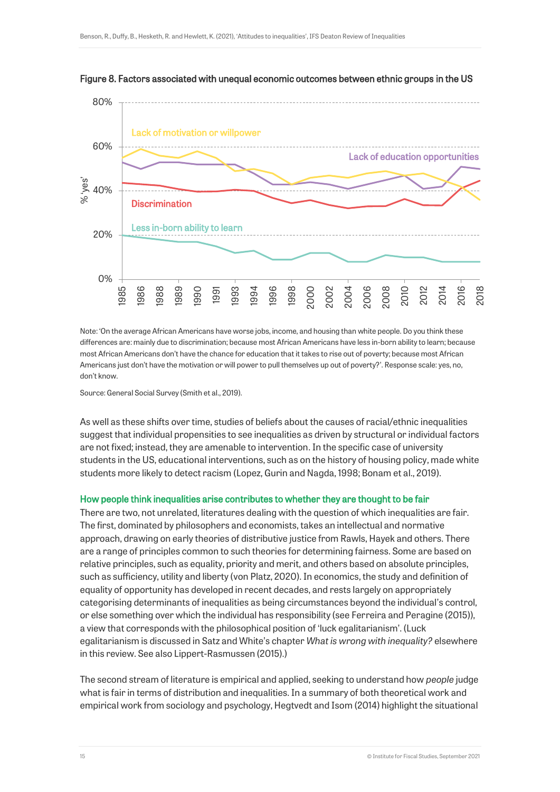

Figure 8. Factors associated with unequal economic outcomes between ethnic groups in the US

Note: 'On the average African Americans have worse jobs, income, and housing than white people. Do you think these differences are: mainly due to discrimination; because most African Americans have less in-born ability to learn; because most African Americans don't have the chance for education that it takes to rise out of poverty; because most African Americans just don't have the motivation or will power to pull themselves up out of poverty?'. Response scale: yes, no, don't know.

Source: General Social Survey (Smith et al., 2019).

As well as these shifts over time, studies of beliefs about the causes of racial/ethnic inequalities suggest that individual propensities to see inequalities as driven by structural or individual factors are not fixed; instead, they are amenable to intervention. In the specific case of university students in the US, educational interventions, such as on the history of housing policy, made white students more likely to detect racism (Lopez, Gurin and Nagda, 1998; Bonam et al., 2019).

#### How people think inequalities arise contributes to whether they are thought to be fair

There are two, not unrelated, literatures dealing with the question of which inequalities are fair. The first, dominated by philosophers and economists, takes an intellectual and normative approach, drawing on early theories of distributive justice from Rawls, Hayek and others. There are a range of principles common to such theories for determining fairness. Some are based on relative principles, such as equality, priority and merit, and others based on absolute principles, such as sufficiency, utility and liberty (von Platz, 2020). In economics, the study and definition of equality of opportunity has developed in recent decades, and rests largely on appropriately categorising determinants of inequalities as being circumstances beyond the individual's control, or else something over which the individual has responsibility (see Ferreira and Peragine (2015)), a view that corresponds with the philosophical position of 'luck egalitarianism'. (Luck egalitarianism is discussed in Satz and White's chapter *What is wrong with inequality?* elsewhere in this review. See also Lippert-Rasmussen (2015).)

The second stream of literature is empirical and applied, seeking to understand how *people* judge what is fair in terms of distribution and inequalities. In a summary of both theoretical work and empirical work from sociology and psychology, Hegtvedt and Isom (2014) highlight the situational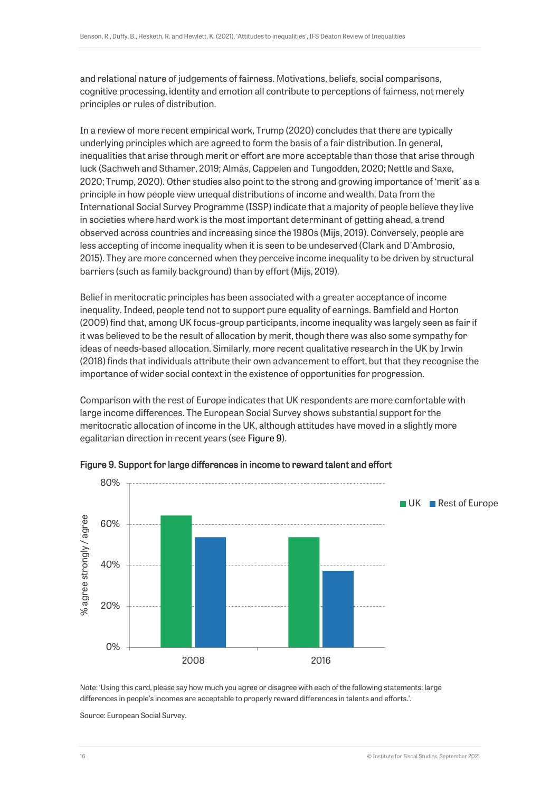and relational nature of judgements of fairness. Motivations, beliefs, social comparisons, cognitive processing, identity and emotion all contribute to perceptions of fairness, not merely principles or rules of distribution.

In a review of more recent empirical work, Trump (2020) concludes that there are typically underlying principles which are agreed to form the basis of a fair distribution. In general, inequalities that arise through merit or effort are more acceptable than those that arise through luck (Sachweh and Sthamer, 2019; Almås, Cappelen and Tungodden, 2020; Nettle and Saxe, 2020; Trump, 2020). Other studies also point to the strong and growing importance of 'merit' as a principle in how people view unequal distributions of income and wealth. Data from the International Social Survey Programme (ISSP) indicate that a majority of people believe they live in societies where hard work is the most important determinant of getting ahead, a trend observed across countries and increasing since the 1980s (Mijs, 2019). Conversely, people are less accepting of income inequality when it is seen to be undeserved (Clark and D'Ambrosio, 2015). They are more concerned when they perceive income inequality to be driven by structural barriers (such as family background) than by effort (Mijs, 2019).

Belief in meritocratic principles has been associated with a greater acceptance of income inequality. Indeed, people tend not to support pure equality of earnings. Bamfield and Horton (2009) find that, among UK focus-group participants, income inequality was largely seen as fair if it was believed to be the result of allocation by merit, though there was also some sympathy for ideas of needs-based allocation. Similarly, more recent qualitative research in the UK by Irwin (2018) finds that individuals attribute their own advancement to effort, but that they recognise the importance of wider social context in the existence of opportunities for progression.

Comparison with the rest of Europe indicates that UK respondents are more comfortable with large income differences. The European Social Survey shows substantial support for the meritocratic allocation of income in the UK, although attitudes have moved in a slightly more egalitarian direction in recent vears (see Figure 9).



Figure 9. Support for large differences in income to reward talent and effort

Note: 'Using this card, please say how much you agree or disagree with each of the following statements: large differences in people's incomes are acceptable to properly reward differences in talents and efforts.'.

Source: European Social Survey.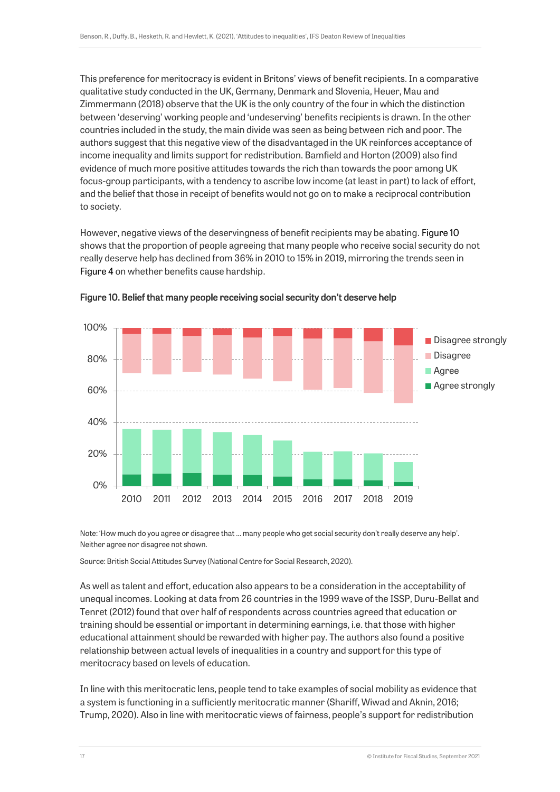This preference for meritocracy is evident in Britons' views of benefit recipients. In a comparative qualitative study conducted in the UK, Germany, Denmark and Slovenia, Heuer, Mau and Zimmermann (2018) observe that the UK is the only country of the four in which the distinction between 'deserving' working people and 'undeserving' benefits recipients is drawn. In the other countries included in the study, the main divide was seen as being between rich and poor. The authors suggest that this negative view of the disadvantaged in the UK reinforces acceptance of income inequality and limits support for redistribution. Bamfield and Horton (2009) also find evidence of much more positive attitudes towards the rich than towards the poor among UK focus-group participants, with a tendency to ascribe low income (at least in part) to lack of effort, and the belief that those in receipt of benefits would not go on to make a reciprocal contribution to society.

However, negative views of the deservingness of benefit recipients may be abating. Figure 10 shows that the proportion of people agreeing that many people who receive social security do not really deserve help has declined from 36% in 2010 to 15% in 2019, mirroring the trends seen in Figure 4 on whether benefits cause hardship.



Figure 10. Belief that many people receiving social security don't deserve help

Note: 'How much do you agree or disagree that … many people who get social security don't really deserve any help'. Neither agree nor disagree not shown.

Source: British Social Attitudes Survey (National Centre for Social Research, 2020).

As well as talent and effort, education also appears to be a consideration in the acceptability of unequal incomes. Looking at data from 26 countries in the 1999 wave of the ISSP, Duru-Bellat and Tenret (2012) found that over half of respondents across countries agreed that education or training should be essential or important in determining earnings, i.e. that those with higher educational attainment should be rewarded with higher pay. The authors also found a positive relationship between actual levels of inequalities in a country and support for this type of meritocracy based on levels of education.

In line with this meritocratic lens, people tend to take examples of social mobility as evidence that a system is functioning in a sufficiently meritocratic manner (Shariff, Wiwad and Aknin, 2016; Trump, 2020). Also in line with meritocratic views of fairness, people's support for redistribution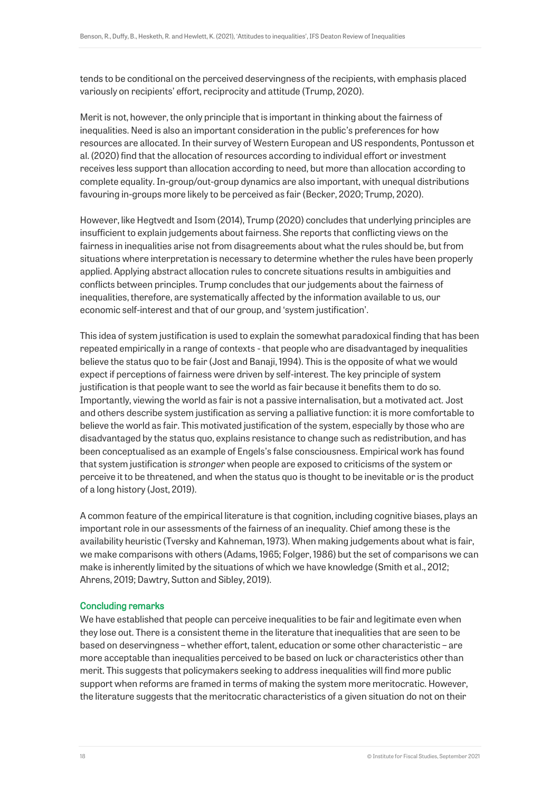tends to be conditional on the perceived deservingness of the recipients, with emphasis placed variously on recipients' effort, reciprocity and attitude (Trump, 2020).

Merit is not, however, the only principle that is important in thinking about the fairness of inequalities. Need is also an important consideration in the public's preferences for how resources are allocated. In their survey of Western European and US respondents, Pontusson et al. (2020) find that the allocation of resources according to individual effort or investment receives less support than allocation according to need, but more than allocation according to complete equality. In-group/out-group dynamics are also important, with unequal distributions favouring in-groups more likely to be perceived as fair (Becker, 2020; Trump, 2020).

However, like Hegtvedt and Isom (2014), Trump (2020) concludes that underlying principles are insufficient to explain judgements about fairness. She reports that conflicting views on the fairness in inequalities arise not from disagreements about what the rules should be, but from situations where interpretation is necessary to determine whether the rules have been properly applied. Applying abstract allocation rules to concrete situations results in ambiguities and conflicts between principles. Trump concludes that our judgements about the fairness of inequalities, therefore, are systematically affected by the information available to us, our economic self-interest and that of our group, and 'system justification'.

This idea of system justification is used to explain the somewhat paradoxical finding that has been repeated empirically in a range of contexts - that people who are disadvantaged by inequalities believe the status quo to be fair (Jost and Banaji, 1994). This is the opposite of what we would expect if perceptions of fairness were driven by self-interest. The key principle of system justification is that people want to see the world as fair because it benefits them to do so. Importantly, viewing the world as fair is not a passive internalisation, but a motivated act. Jost and others describe system justification as serving a palliative function: it is more comfortable to believe the world as fair. This motivated justification of the system, especially by those who are disadvantaged by the status quo, explains resistance to change such as redistribution, and has been conceptualised as an example of Engels's false consciousness. Empirical work has found that system justification is *stronger* when people are exposed to criticisms of the system or perceive it to be threatened, and when the status quo is thought to be inevitable or is the product of a long history (Jost, 2019).

A common feature of the empirical literature is that cognition, including cognitive biases, plays an important role in our assessments of the fairness of an inequality. Chief among these is the availability heuristic (Tversky and Kahneman, 1973). When making judgements about what is fair, we make comparisons with others (Adams, 1965; Folger, 1986) but the set of comparisons we can make is inherently limited by the situations of which we have knowledge (Smith et al., 2012; Ahrens, 2019; Dawtry, Sutton and Sibley, 2019).

#### Concluding remarks

We have established that people can perceive inequalities to be fair and legitimate even when they lose out. There is a consistent theme in the literature that inequalities that are seen to be based on deservingness – whether effort, talent, education or some other characteristic – are more acceptable than inequalities perceived to be based on luck or characteristics other than merit. This suggests that policymakers seeking to address inequalities will find more public support when reforms are framed in terms of making the system more meritocratic. However, the literature suggests that the meritocratic characteristics of a given situation do not on their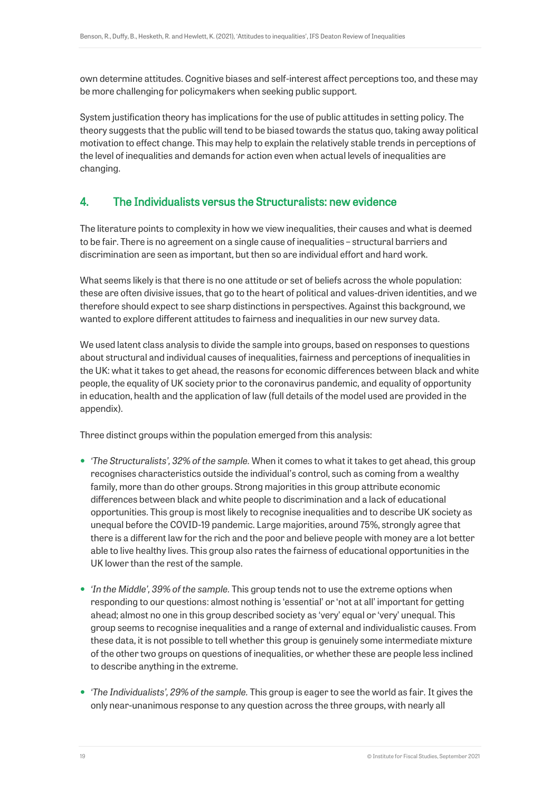own determine attitudes. Cognitive biases and self-interest affect perceptions too, and these may be more challenging for policymakers when seeking public support.

System justification theory has implications for the use of public attitudes in setting policy. The theory suggests that the public will tend to be biased towards the status quo, taking away political motivation to effect change. This may help to explain the relatively stable trends in perceptions of the level of inequalities and demands for action even when actual levels of inequalities are changing.

# 4. The Individualists versus the Structuralists: new evidence

The literature points to complexity in how we view inequalities, their causes and what is deemed to be fair. There is no agreement on a single cause of inequalities – structural barriers and discrimination are seen as important, but then so are individual effort and hard work.

What seems likely is that there is no one attitude or set of beliefs across the whole population: these are often divisive issues, that go to the heart of political and values-driven identities, and we therefore should expect to see sharp distinctions in perspectives. Against this background, we wanted to explore different attitudes to fairness and inequalities in our new survey data.

We used latent class analysis to divide the sample into groups, based on responses to questions about structural and individual causes of inequalities, fairness and perceptions of inequalities in the UK: what it takes to get ahead, the reasons for economic differences between black and white people, the equality of UK society prior to the coronavirus pandemic, and equality of opportunity in education, health and the application of law (full details of the model used are provided in the appendix).

Three distinct groups within the population emerged from this analysis:

- *'The Structuralists', 32% of the sample.* When it comes to what it takes to get ahead, this group recognises characteristics outside the individual's control, such as coming from a wealthy family, more than do other groups. Strong majorities in this group attribute economic differences between black and white people to discrimination and a lack of educational opportunities. This group is most likely to recognise inequalities and to describe UK society as unequal before the COVID-19 pandemic. Large majorities, around 75%, strongly agree that there is a different law for the rich and the poor and believe people with money are a lot better able to live healthy lives. This group also rates the fairness of educational opportunities in the UK lower than the rest of the sample.
- *'In the Middle', 39% of the sample.* This group tends not to use the extreme options when responding to our questions: almost nothing is 'essential' or 'not at all' important for getting ahead; almost no one in this group described society as 'very' equal or 'very' unequal. This group seems to recognise inequalities and a range of external and individualistic causes. From these data, it is not possible to tell whether this group is genuinely some intermediate mixture of the other two groups on questions of inequalities, or whether these are people less inclined to describe anything in the extreme.
- *'The Individualists', 29% of the sample.* This group is eager to see the world as fair. It gives the only near-unanimous response to any question across the three groups, with nearly all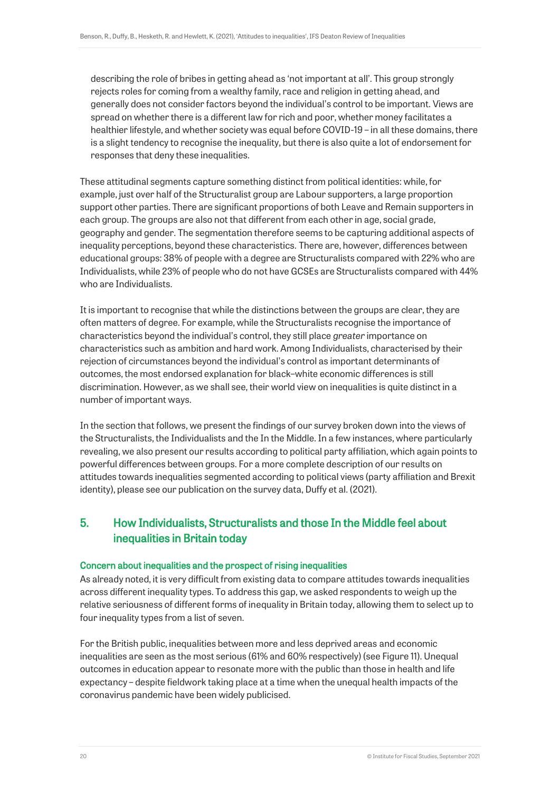describing the role of bribes in getting ahead as 'not important at all'. This group strongly rejects roles for coming from a wealthy family, race and religion in getting ahead, and generally does not consider factors beyond the individual's control to be important. Views are spread on whether there is a different law for rich and poor, whether money facilitates a healthier lifestyle, and whether society was equal before COVID-19 – in all these domains, there is a slight tendency to recognise the inequality, but there is also quite a lot of endorsement for responses that deny these inequalities.

These attitudinal segments capture something distinct from political identities: while, for example, just over half of the Structuralist group are Labour supporters, a large proportion support other parties. There are significant proportions of both Leave and Remain supporters in each group. The groups are also not that different from each other in age, social grade, geography and gender. The segmentation therefore seems to be capturing additional aspects of inequality perceptions, beyond these characteristics. There are, however, differences between educational groups: 38% of people with a degree are Structuralists compared with 22% who are Individualists, while 23% of people who do not have GCSEs are Structuralists compared with 44% who are Individualists.

It is important to recognise that while the distinctions between the groups are clear, they are often matters of degree. For example, while the Structuralists recognise the importance of characteristics beyond the individual's control, they still place *greater* importance on characteristics such as ambition and hard work. Among Individualists, characterised by their rejection of circumstances beyond the individual's control as important determinants of outcomes, the most endorsed explanation for black–white economic differences is still discrimination. However, as we shall see, their world view on inequalities is quite distinct in a number of important ways.

In the section that follows, we present the findings of our survey broken down into the views of the Structuralists, the Individualists and the In the Middle. In a few instances, where particularly revealing, we also present our results according to political party affiliation, which again points to powerful differences between groups. For a more complete description of our results on attitudes towards inequalities segmented according to political views (party affiliation and Brexit identity), please see our publication on the survey data, Duffy et al. (2021).

# 5. How Individualists, Structuralists and those In the Middle feel about inequalities in Britain today

#### Concern about inequalities and the prospect of rising inequalities

As already noted, it is very difficult from existing data to compare attitudes towards inequalities across different inequality types. To address this gap, we asked respondents to weigh up the relative seriousness of different forms of inequality in Britain today, allowing them to select up to four inequality types from a list of seven.

For the British public, inequalities between more and less deprived areas and economic inequalities are seen as the most serious (61% and 60% respectively) (see Figure 11). Unequal outcomes in education appear to resonate more with the public than those in health and life expectancy – despite fieldwork taking place at a time when the unequal health impacts of the coronavirus pandemic have been widely publicised.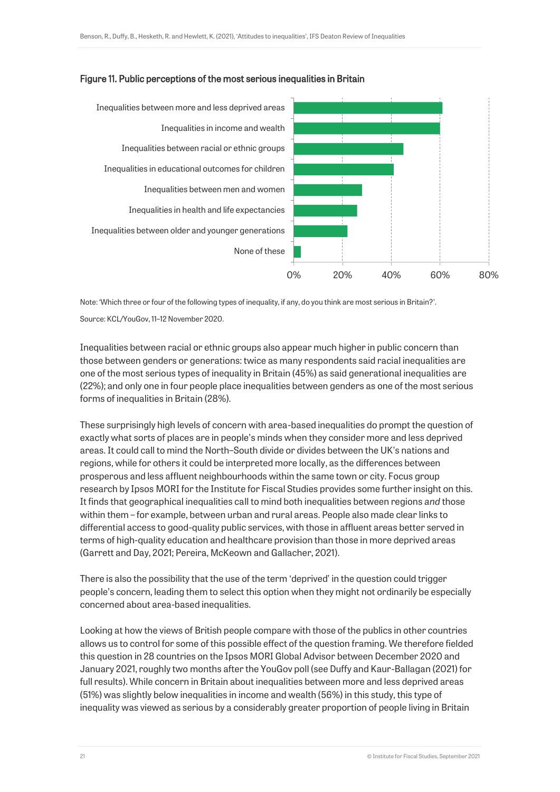

#### Figure 11. Public perceptions of the most serious inequalities in Britain

Note: 'Which three or four of the following types of inequality, if any, do you think are most serious in Britain?'.

Source: KCL/YouGov, 11–12 November 2020.

Inequalities between racial or ethnic groups also appear much higher in public concern than those between genders or generations: twice as many respondents said racial inequalities are one of the most serious types of inequality in Britain (45%) as said generational inequalities are (22%); and only one in four people place inequalities between genders as one of the most serious forms of inequalities in Britain (28%).

These surprisingly high levels of concern with area-based inequalities do prompt the question of exactly what sorts of places are in people's minds when they consider more and less deprived areas. It could call to mind the North–South divide or divides between the UK's nations and regions, while for others it could be interpreted more locally, as the differences between prosperous and less affluent neighbourhoods within the same town or city. Focus group research by Ipsos MORI for the Institute for Fiscal Studies provides some further insight on this. It finds that geographical inequalities call to mind both inequalities between regions *and* those within them – for example, between urban and rural areas. People also made clear links to differential access to good-quality public services, with those in affluent areas better served in terms of high-quality education and healthcare provision than those in more deprived areas (Garrett and Day, 2021; Pereira, McKeown and Gallacher, 2021).

There is also the possibility that the use of the term 'deprived' in the question could trigger people's concern, leading them to select this option when they might not ordinarily be especially concerned about area-based inequalities.

Looking at how the views of British people compare with those of the publics in other countries allows us to control for some of this possible effect of the question framing. We therefore fielded this question in 28 countries on the Ipsos MORI Global Advisor between December 2020 and January 2021, roughly two months after the YouGov poll (see Duffy and Kaur-Ballagan (2021) for full results). While concern in Britain about inequalities between more and less deprived areas (51%) was slightly below inequalities in income and wealth (56%) in this study, this type of inequality was viewed as serious by a considerably greater proportion of people living in Britain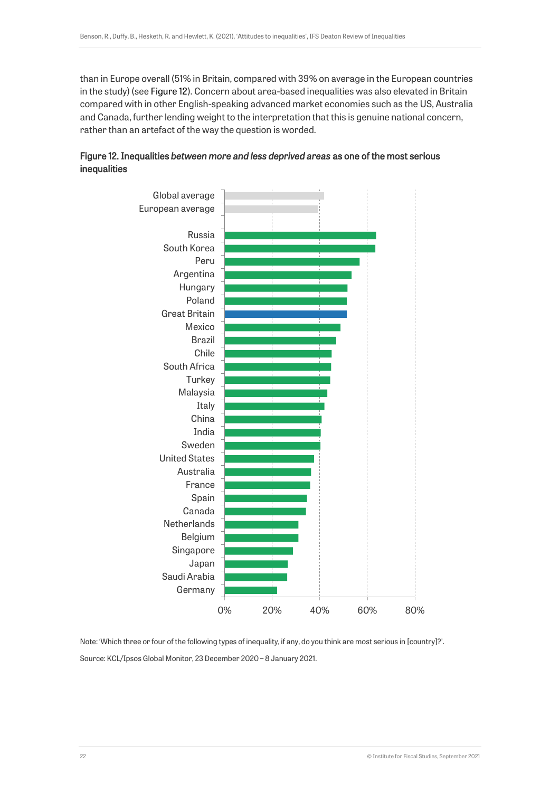than in Europe overall (51% in Britain, compared with 39% on average in the European countries in the study) (see Figure 12). Concern about area-based inequalities was also elevated in Britain compared with in other English-speaking advanced market economies such as the US, Australia and Canada, further lending weight to the interpretation that this is genuine national concern, rather than an artefact of the way the question is worded.



Figure 12. Inequalities *between more and less deprived areas* as one of the most serious inequalities

Note: 'Which three or four of the following types of inequality, if any, do you think are most serious in [country]?'. Source: KCL/Ipsos Global Monitor, 23 December 2020 – 8 January 2021.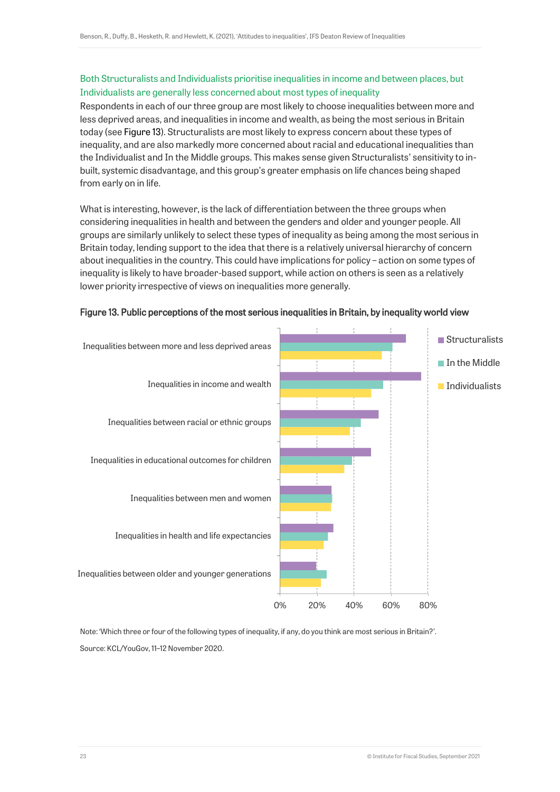#### Both Structuralists and Individualists prioritise inequalities in income and between places, but Individualists are generally less concerned about most types of inequality

Respondents in each of our three group are most likely to choose inequalities between more and less deprived areas, and inequalities in income and wealth, as being the most serious in Britain today (see Figure 13). Structuralists are most likely to express concern about these types of inequality, and are also markedly more concerned about racial and educational inequalities than the Individualist and In the Middle groups. This makes sense given Structuralists' sensitivity to inbuilt, systemic disadvantage, and this group's greater emphasis on life chances being shaped from early on in life.

What is interesting, however, is the lack of differentiation between the three groups when considering inequalities in health and between the genders and older and younger people. All groups are similarly unlikely to select these types of inequality as being among the most serious in Britain today, lending support to the idea that there is a relatively universal hierarchy of concern about inequalities in the country. This could have implications for policy – action on some types of inequality is likely to have broader-based support, while action on others is seen as a relatively lower priority irrespective of views on inequalities more generally.



#### Figure 13. Public perceptions of the most serious inequalities in Britain, by inequality world view

Note: 'Which three or four of the following types of inequality, if any, do you think are most serious in Britain?'. Source: KCL/YouGov, 11–12 November 2020.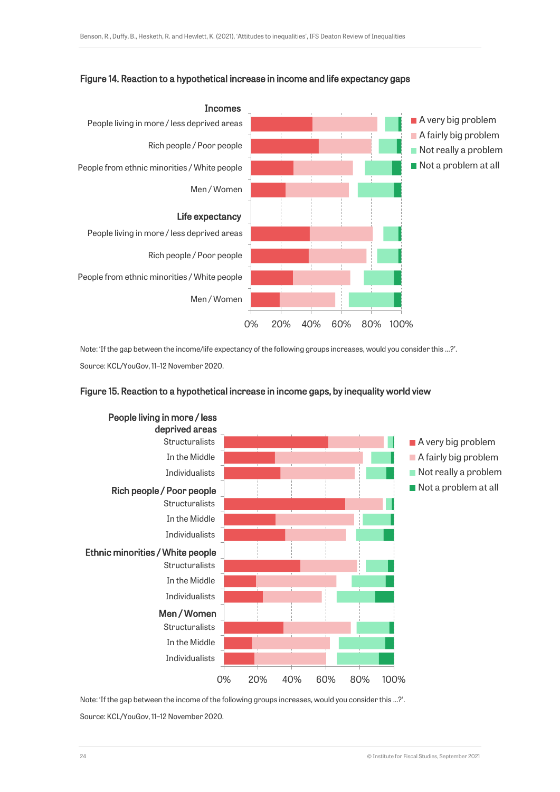

#### Figure 14. Reaction to a hypothetical increase in income and life expectancy gaps

Note: 'If the gap between the income/life expectancy of the following groups increases, would you consider this …?'.

Source: KCL/YouGov, 11–12 November 2020.

#### Figure 15. Reaction to a hypothetical increase in income gaps, by inequality world view



Note: 'If the gap between the income of the following groups increases, would you consider this …?'. Source: KCL/YouGov, 11–12 November 2020.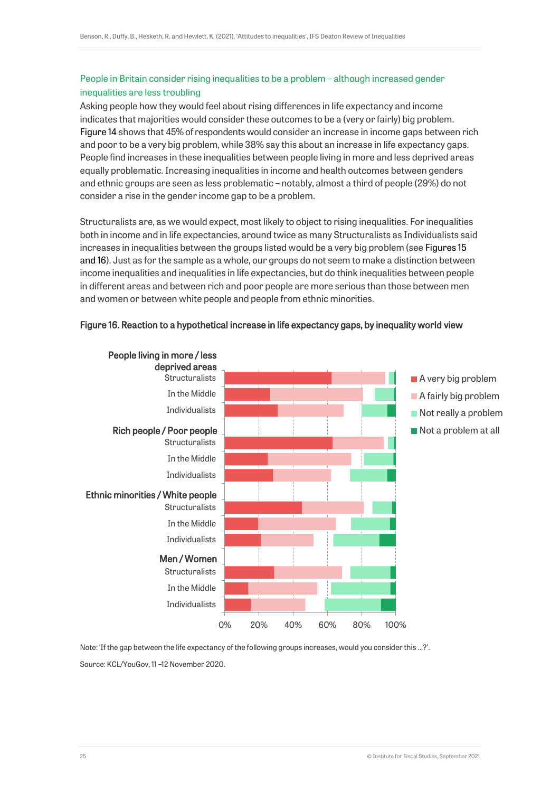#### People in Britain consider rising inequalities to be a problem – although increased gender inequalities are less troubling

Asking people how they would feel about rising differences in life expectancy and income indicates that majorities would consider these outcomes to be a (very or fairly) big problem. Figure 14 shows that 45% of respondents would consider an increase in income gaps between rich and poor to be a very big problem, while 38% say this about an increase in life expectancy gaps. People find increases in these inequalities between people living in more and less deprived areas equally problematic. Increasing inequalities in income and health outcomes between genders and ethnic groups are seen as less problematic – notably, almost a third of people (29%) do not consider a rise in the gender income gap to be a problem.

Structuralists are, as we would expect, most likely to object to rising inequalities. For inequalities both in income and in life expectancies, around twice as many Structuralists as Individualists said increases in inequalities between the groups listed would be a very big problem (see Figures 15 and 16). Just as for the sample as a whole, our groups do not seem to make a distinction between income inequalities and inequalities in life expectancies, but do think inequalities between people in different areas and between rich and poor people are more serious than those between men and women or between white people and people from ethnic minorities.

#### Figure 16. Reaction to a hypothetical increase in life expectancy gaps, by inequality world view



Note: 'If the gap between the life expectancy of the following groups increases, would you consider this …?'.

Source: KCL/YouGov, 11 –12 November 2020.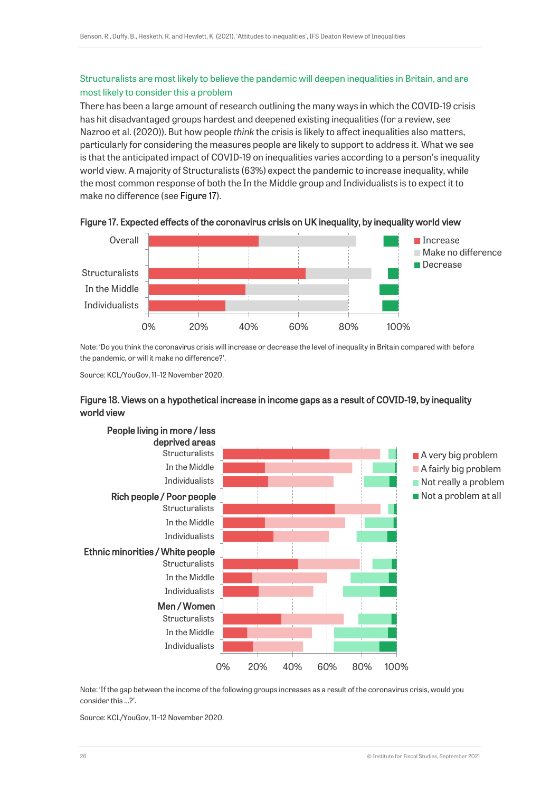#### Structuralists are most likely to believe the pandemic will deepen inequalities in Britain, and are most likely to consider this a problem

There has been a large amount of research outlining the many ways in which the COVID-19 crisis has hit disadvantaged groups hardest and deepened existing inequalities (for a review, see Nazroo et al. (2020)). But how people *think* the crisis is likely to affect inequalities also matters, particularly for considering the measures people are likely to support to address it. What we see is that the anticipated impact of COVID-19 on inequalities varies according to a person's inequality world view. A majority of Structuralists (63%) expect the pandemic to increase inequality, while the most common response of both the In the Middle group and Individualists is to expect it to make no difference (see Figure 17).



Figure 17. Expected effects of the coronavirus crisis on UK inequality, by inequality world view

Note: 'Do you think the coronavirus crisis will increase or decrease the level of inequality in Britain compared with before the pandemic, or will it make no difference?'.

Source: KCL/YouGov, 11–12 November 2020.

#### Figure 18. Views on a hypothetical increase in income gaps as a result of COVID-19, by inequality world view



Note: 'If the gap between the income of the following groups increases as a result of the coronavirus crisis, would you consider this …?'.

Source: KCL/YouGov, 11–12 November 2020.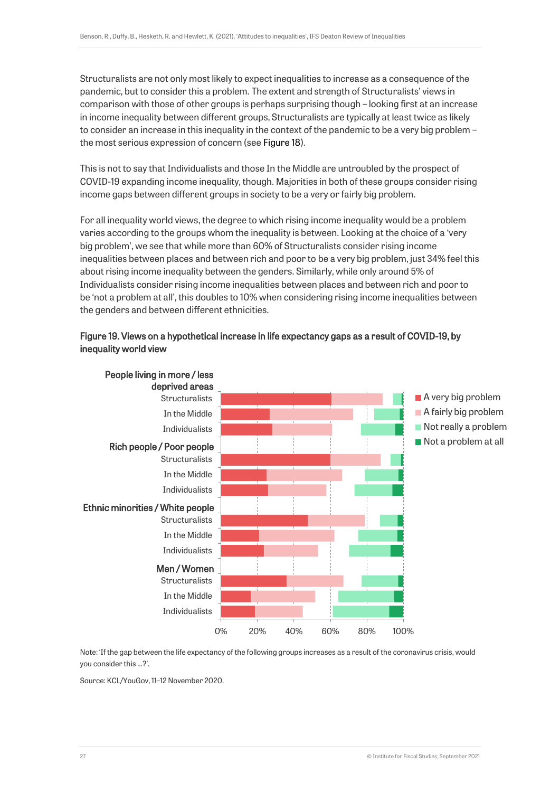Structuralists are not only most likely to expect inequalities to increase as a consequence of the pandemic, but to consider this a problem. The extent and strength of Structuralists' views in comparison with those of other groups is perhaps surprising though – looking first at an increase in income inequality between different groups, Structuralists are typically at least twice as likely to consider an increase in this inequality in the context of the pandemic to be a very big problem – the most serious expression of concern (see Figure 18).

This is not to say that Individualists and those In the Middle are untroubled by the prospect of COVID-19 expanding income inequality, though. Majorities in both of these groups consider rising income gaps between different groups in society to be a very or fairly big problem.

For all inequality world views, the degree to which rising income inequality would be a problem varies according to the groups whom the inequality is between. Looking at the choice of a 'very big problem', we see that while more than 60% of Structuralists consider rising income inequalities between places and between rich and poor to be a very big problem, just 34% feel this about rising income inequality between the genders. Similarly, while only around 5% of Individualists consider rising income inequalities between places and between rich and poor to be 'not a problem at all', this doubles to 10% when considering rising income inequalities between the genders and between different ethnicities.

#### Figure 19. Views on a hypothetical increase in life expectancy gaps as a result of COVID-19, by inequality world view



Note: 'If the gap between the life expectancy of the following groups increases as a result of the coronavirus crisis, would you consider this …?'.

Source: KCL/YouGov, 11–12 November 2020.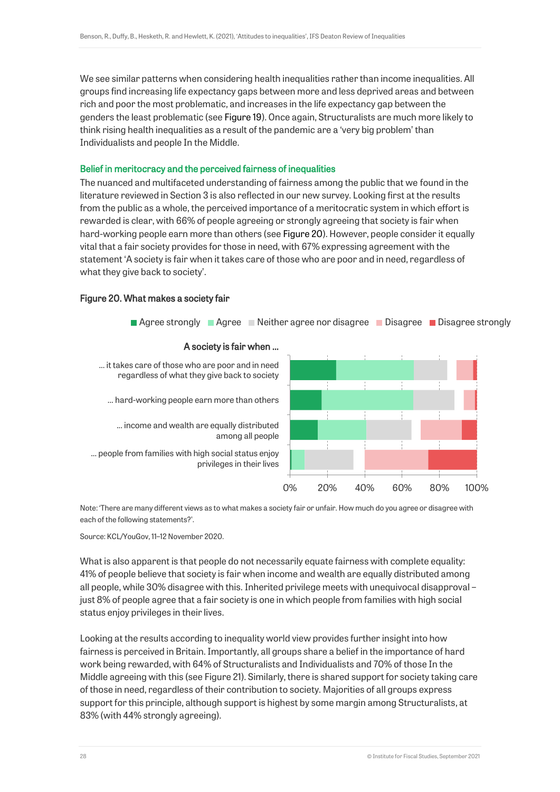We see similar patterns when considering health inequalities rather than income inequalities. All groups find increasing life expectancy gaps between more and less deprived areas and between rich and poor the most problematic, and increases in the life expectancy gap between the genders the least problematic (see Figure 19). Once again, Structuralists are much more likely to think rising health inequalities as a result of the pandemic are a 'very big problem' than Individualists and people In the Middle.

#### Belief in meritocracy and the perceived fairness of inequalities

The nuanced and multifaceted understanding of fairness among the public that we found in the literature reviewed in Section 3 is also reflected in our new survey. Looking first at the results from the public as a whole, the perceived importance of a meritocratic system in which effort is rewarded is clear, with 66% of people agreeing or strongly agreeing that society is fair when hard-working people earn more than others (see Figure 20). However, people consider it equally vital that a fair society provides for those in need, with 67% expressing agreement with the statement 'A society is fair when it takes care of those who are poor and in need, regardless of what they give back to society'.

#### Figure 20. What makes a society fair





#### A society is fair when …

Note: 'There are many different views as to what makes a society fair or unfair. How much do you agree or disagree with each of the following statements?'.

Source: KCL/YouGov, 11–12 November 2020.

What is also apparent is that people do not necessarily equate fairness with complete equality: 41% of people believe that society is fair when income and wealth are equally distributed among all people, while 30% disagree with this. Inherited privilege meets with unequivocal disapproval – just 8% of people agree that a fair society is one in which people from families with high social status enjoy privileges in their lives.

Looking at the results according to inequality world view provides further insight into how fairness is perceived in Britain. Importantly, all groups share a belief in the importance of hard work being rewarded, with 64% of Structuralists and Individualists and 70% of those In the Middle agreeing with this (see Figure 21). Similarly, there is shared support for society taking care of those in need, regardless of their contribution to society. Majorities of all groups express support for this principle, although support is highest by some margin among Structuralists, at 83% (with 44% strongly agreeing).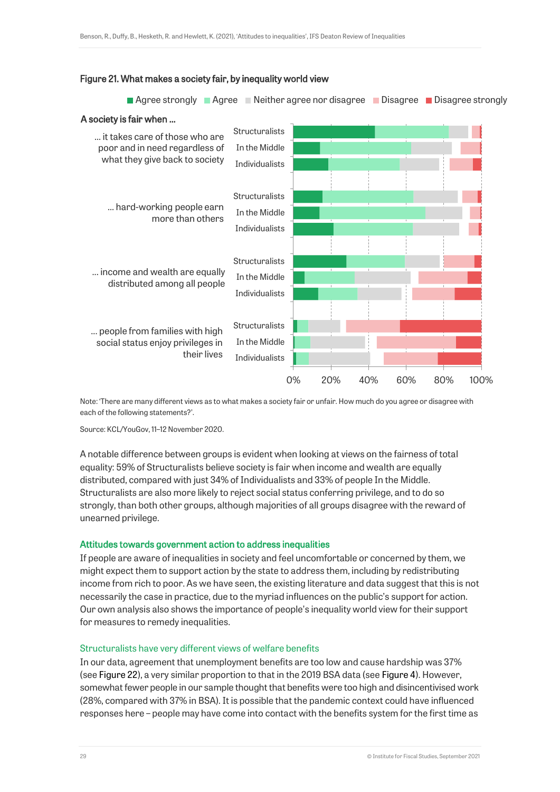

#### Figure 21. What makes a society fair, by inequality world view

Note: 'There are many different views as to what makes a society fair or unfair. How much do you agree or disagree with each of the following statements?'.

Source: KCL/YouGov, 11–12 November 2020.

A notable difference between groups is evident when looking at views on the fairness of total equality: 59% of Structuralists believe society is fair when income and wealth are equally distributed, compared with just 34% of Individualists and 33% of people In the Middle. Structuralists are also more likely to reject social status conferring privilege, and to do so strongly, than both other groups, although majorities of all groups disagree with the reward of unearned privilege.

#### Attitudes towards government action to address inequalities

If people are aware of inequalities in society and feel uncomfortable or concerned by them, we might expect them to support action by the state to address them, including by redistributing income from rich to poor. As we have seen, the existing literature and data suggest that this is not necessarily the case in practice, due to the myriad influences on the public's support for action. Our own analysis also shows the importance of people's inequality world view for their support for measures to remedy inequalities.

#### Structuralists have very different views of welfare benefits

In our data, agreement that unemployment benefits are too low and cause hardship was 37% (see Figure 22), a very similar proportion to that in the 2019 BSA data (see Figure 4). However, somewhat fewer people in our sample thought that benefits were too high and disincentivised work (28%, compared with 37% in BSA). It is possible that the pandemic context could have influenced responses here – people may have come into contact with the benefits system for the first time as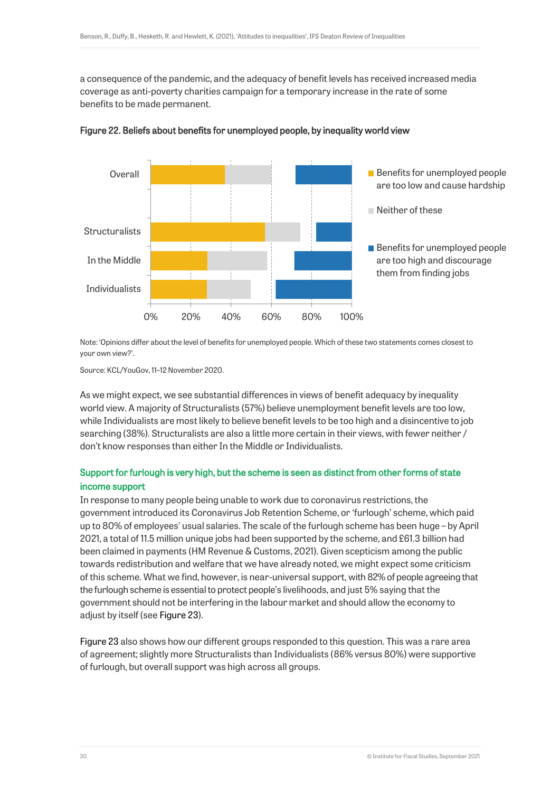a consequence of the pandemic, and the adequacy of benefit levels has received increased media coverage as anti-poverty charities campaign for a temporary increase in the rate of some benefits to be made permanent.





Note: 'Opinions differ about the level of benefits for unemployed people. Which of these two statements comes closest to your own view?'.

Source: KCL/YouGov, 11–12 November 2020.

As we might expect, we see substantial differences in views of benefit adequacy by inequality world view. A majority of Structuralists (57%) believe unemployment benefit levels are too low, while Individualists are most likely to believe benefit levels to be too high and a disincentive to job searching (38%). Structuralists are also a little more certain in their views, with fewer neither / don't know responses than either In the Middle or Individualists.

#### Support for furlough is very high, but the scheme is seen as distinct from other forms of state income support

In response to many people being unable to work due to coronavirus restrictions, the government introduced its Coronavirus Job Retention Scheme, or 'furlough' scheme, which paid up to 80% of employees' usual salaries. The scale of the furlough scheme has been huge – by April 2021, a total of 11.5 million unique jobs had been supported by the scheme, and £61.3 billion had been claimed in payments (HM Revenue & Customs, 2021). Given scepticism among the public towards redistribution and welfare that we have already noted, we might expect some criticism of this scheme. What we find, however, is near-universal support, with 82% of people agreeing that the furlough scheme is essential to protect people's livelihoods, and just 5% saying that the government should not be interfering in the labour market and should allow the economy to adiust by itself (see Figure 23).

Figure 23 also shows how our different groups responded to this question. This was a rare area of agreement; slightly more Structuralists than Individualists (86% versus 80%) were supportive of furlough, but overall support was high across all groups.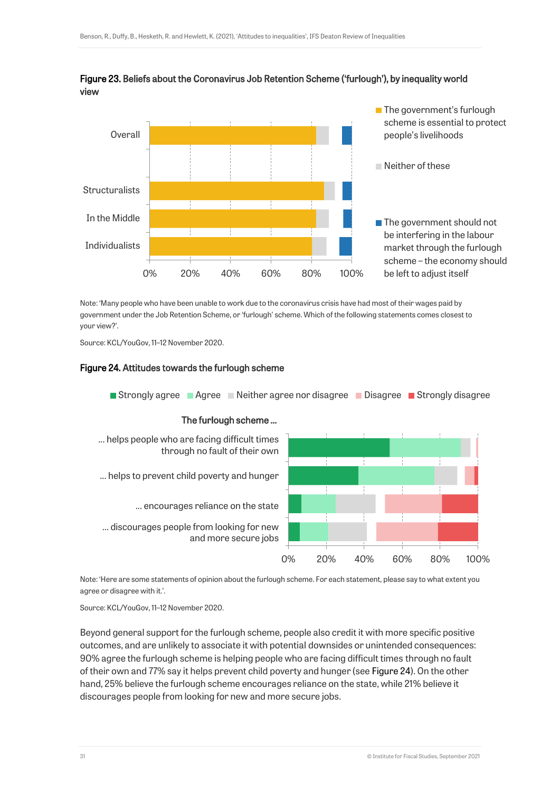

Figure 23. Beliefs about the Coronavirus Job Retention Scheme ('furlough'), by inequality world view

Note: 'Many people who have been unable to work due to the coronavirus crisis have had most of their wages paid by government under the Job Retention Scheme, or 'furlough' scheme. Which of the following statements comes closest to your view?'.

Source: KCL/YouGov, 11–12 November 2020.

#### Figure 24. Attitudes towards the furlough scheme

The furlough scheme helps to prevent child poverty ... helps to prevent child poverty and hunger ... helps people who are facing difficult times through no fault of their own **Strongly agree** Agree Neither agree nor disagree Disagree Strongly disagree The furlough scheme …

 $\ldots$  encourages reliance on the state

... discourages people from looking for new and more secure jobs

Note: 'Here are some statements of opinion about the furlough scheme. For each statement, please say to what extent you agree or disagree with it.'.

Source: KCL/YouGov, 11–12 November 2020.

Beyond general support for the furlough scheme, people also credit it with more specific positive outcomes, and are unlikely to associate it with potential downsides or unintended consequences: 90% agree the furlough scheme is helping people who are facing difficult times through no fault of their own and 77% say it helps prevent child poverty and hunger (see Figure 24). On the other hand, 25% believe the furlough scheme encourages reliance on the state, while 21% believe it discourages people from looking for new and more secure jobs.

0% 20% 40% 60% 80% 100%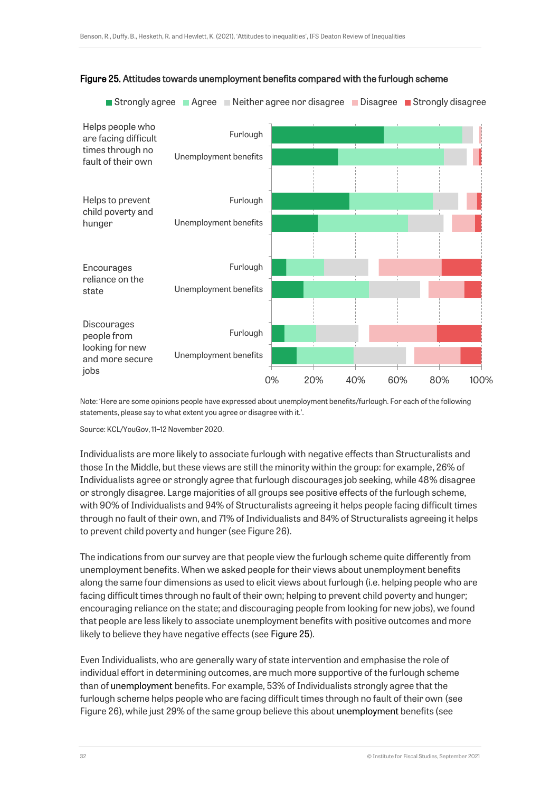

#### Figure 25. Attitudes towards unemployment benefits compared with the furlough scheme

Note: 'Here are some opinions people have expressed about unemployment benefits/furlough. For each of the following statements, please say to what extent you agree or disagree with it.'.

Source: KCL/YouGov, 11–12 November 2020.

Individualists are more likely to associate furlough with negative effects than Structuralists and those In the Middle, but these views are still the minority within the group: for example, 26% of Individualists agree or strongly agree that furlough discourages job seeking, while 48% disagree or strongly disagree. Large majorities of all groups see positive effects of the furlough scheme, with 90% of Individualists and 94% of Structuralists agreeing it helps people facing difficult times through no fault of their own, and 71% of Individualists and 84% of Structuralists agreeing it helps to prevent child poverty and hunger (see Figure 26).

The indications from our survey are that people view the furlough scheme quite differently from unemployment benefits. When we asked people for their views about unemployment benefits along the same four dimensions as used to elicit views about furlough (i.e. helping people who are facing difficult times through no fault of their own; helping to prevent child poverty and hunger; encouraging reliance on the state; and discouraging people from looking for new jobs), we found that people are less likely to associate unemployment benefits with positive outcomes and more likely to believe they have negative effects (see Figure 25).

Even Individualists, who are generally wary of state intervention and emphasise the role of individual effort in determining outcomes, are much more supportive of the furlough scheme than of unemployment benefits. For example, 53% of Individualists strongly agree that the furlough scheme helps people who are facing difficult times through no fault of their own (see Figure 26), while just 29% of the same group believe this about unemployment benefits (see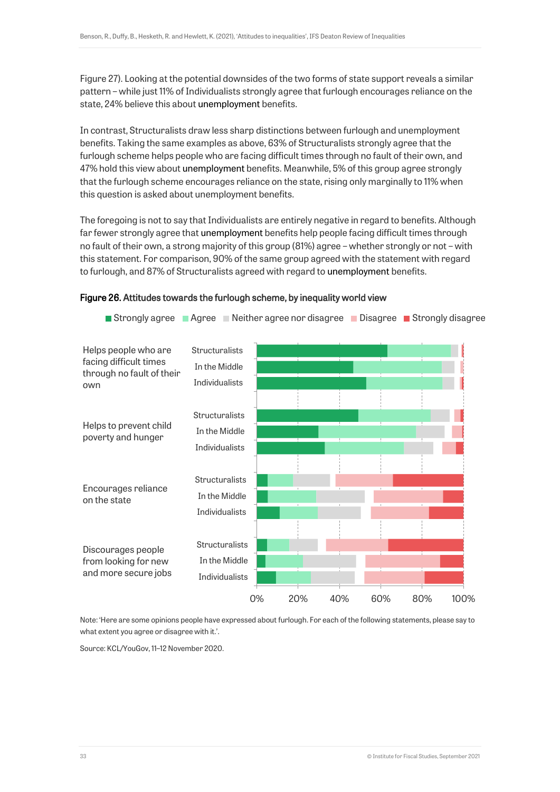Figure 27). Looking at the potential downsides of the two forms of state support reveals a similar pattern – while just 11% of Individualists strongly agree that furlough encourages reliance on the state, 24% believe this about unemployment benefits.

In contrast, Structuralists draw less sharp distinctions between furlough and unemployment benefits. Taking the same examples as above, 63% of Structuralists strongly agree that the furlough scheme helps people who are facing difficult times through no fault of their own, and 47% hold this view about unemployment benefits. Meanwhile, 5% of this group agree strongly that the furlough scheme encourages reliance on the state, rising only marginally to 11% when this question is asked about unemployment benefits.

The foregoing is not to say that Individualists are entirely negative in regard to benefits. Although far fewer strongly agree that unemployment benefits help people facing difficult times through no fault of their own, a strong majority of this group (81%) agree – whether strongly or not – with this statement. For comparison, 90% of the same group agreed with the statement with regard to furlough, and 87% of Structuralists agreed with regard to unemployment benefits.



#### Figure 26. Attitudes towards the furlough scheme, by inequality world view

Note: 'Here are some opinions people have expressed about furlough. For each of the following statements, please say to what extent you agree or disagree with it.'.

Source: KCL/YouGov, 11–12 November 2020.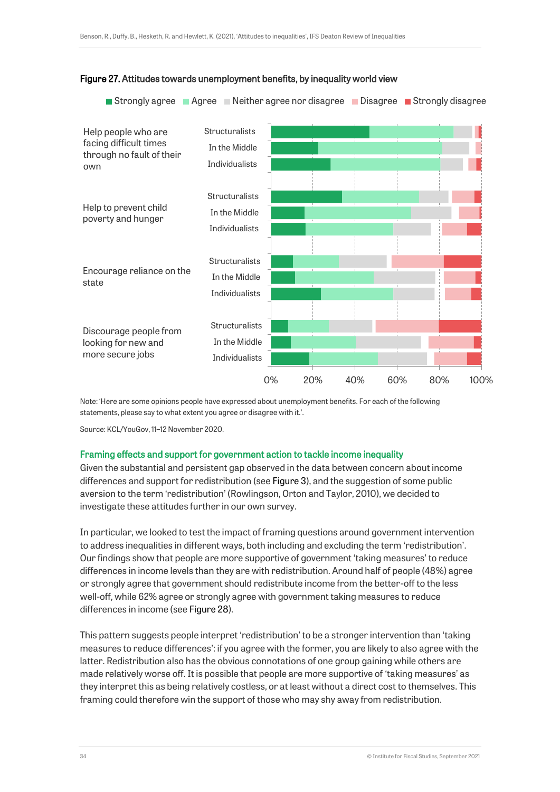

#### Figure 27. Attitudes towards unemployment benefits, by inequality world view

Note: 'Here are some opinions people have expressed about unemployment benefits. For each of the following statements, please say to what extent you agree or disagree with it.'.

Source: KCL/YouGov, 11–12 November 2020.

#### Framing effects and support for government action to tackle income inequality

Given the substantial and persistent gap observed in the data between concern about income differences and support for redistribution (see Figure 3), and the suggestion of some public aversion to the term 'redistribution' (Rowlingson, Orton and Taylor, 2010), we decided to investigate these attitudes further in our own survey.

In particular, we looked to test the impact of framing questions around government intervention to address inequalities in different ways, both including and excluding the term 'redistribution'. Our findings show that people are more supportive of government 'taking measures' to reduce differences in income levels than they are with redistribution. Around half of people (48%) agree or strongly agree that government should redistribute income from the better-off to the less well-off, while 62% agree or strongly agree with government taking measures to reduce differences in income (see Figure 28).

This pattern suggests people interpret 'redistribution' to be a stronger intervention than 'taking measures to reduce differences': if you agree with the former, you are likely to also agree with the latter. Redistribution also has the obvious connotations of one group gaining while others are made relatively worse off. It is possible that people are more supportive of 'taking measures' as they interpret this as being relatively costless, or at least without a direct cost to themselves. This framing could therefore win the support of those who may shy away from redistribution.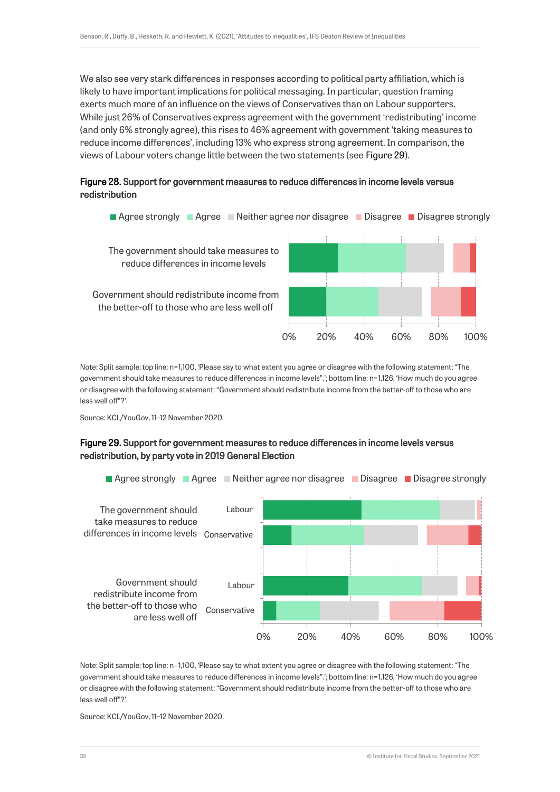We also see very stark differences in responses according to political party affiliation, which is likely to have important implications for political messaging. In particular, question framing exerts much more of an influence on the views of Conservatives than on Labour supporters. While just 26% of Conservatives express agreement with the government 'redistributing' income (and only 6% strongly agree), this rises to 46% agreement with government 'taking measures to reduce income differences', including 13% who express strong agreement. In comparison, the views of Labour voters change little between the two statements (see Figure 29).

#### Figure 28. Support for government measures to reduce differences in income levels versus redistribution



Note: Split sample; top line: n=1,100, 'Please say to what extent you agree or disagree with the following statement: "The government should take measures to reduce differences in income levels".'; bottom line: n=1,126, 'How much do you agree or disagree with the following statement: "Government should redistribute income from the better-off to those who are less well off"?'.

Source: KCL/YouGov, 11–12 November 2020.

#### Figure 29. Support for government measures to reduce differences in income levels versus redistribution, by party vote in 2019 General Election



Note: Split sample; top line: n=1,100, 'Please say to what extent you agree or disagree with the following statement: "The government should take measures to reduce differences in income levels".'; bottom line: n=1,126, 'How much do you agree or disagree with the following statement: "Government should redistribute income from the better-off to those who are less well off"?'.

Source: KCL/YouGov, 11–12 November 2020.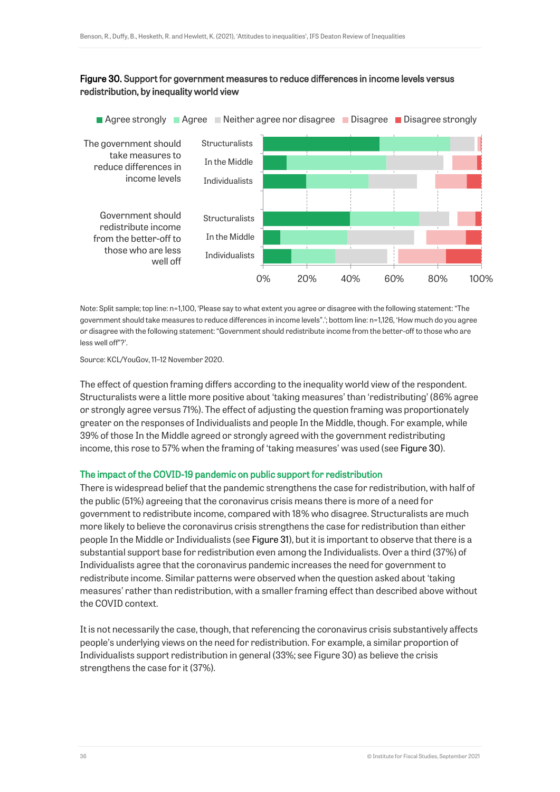#### Figure 30. Support for government measures to reduce differences in income levels versus redistribution, by inequality world view



Note: Split sample; top line: n=1,100, 'Please say to what extent you agree or disagree with the following statement: "The government should take measures to reduce differences in income levels".'; bottom line: n=1,126, 'How much do you agree or disagree with the following statement: "Government should redistribute income from the better-off to those who are less well off"?'.

Source: KCL/YouGov, 11–12 November 2020.

The effect of question framing differs according to the inequality world view of the respondent. Structuralists were a little more positive about 'taking measures' than 'redistributing' (86% agree or strongly agree versus 71%). The effect of adjusting the question framing was proportionately greater on the responses of Individualists and people In the Middle, though. For example, while 39% of those In the Middle agreed or strongly agreed with the government redistributing income, this rose to 57% when the framing of 'taking measures' was used (see Figure 30).

#### The impact of the COVID-19 pandemic on public support for redistribution

There is widespread belief that the pandemic strengthens the case for redistribution, with half of the public (51%) agreeing that the coronavirus crisis means there is more of a need for government to redistribute income, compared with 18% who disagree. Structuralists are much more likely to believe the coronavirus crisis strengthens the case for redistribution than either people In the Middle or Individualists (see Figure 31), but it is important to observe that there is a substantial support base for redistribution even among the Individualists. Over a third (37%) of Individualists agree that the coronavirus pandemic increases the need for government to redistribute income. Similar patterns were observed when the question asked about 'taking measures' rather than redistribution, with a smaller framing effect than described above without the COVID context.

It is not necessarily the case, though, that referencing the coronavirus crisis substantively affects people's underlying views on the need for redistribution. For example, a similar proportion of Individualists support redistribution in general (33%; see Figure 30) as believe the crisis strengthens the case for it (37%).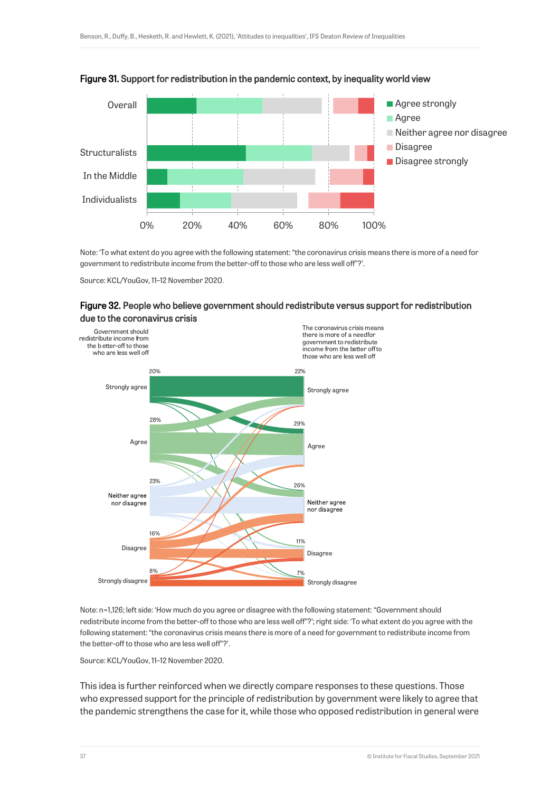



Note: 'To what extent do you agree with the following statement: "the coronavirus crisis means there is more of a need for government to redistribute income from the better-off to those who are less well off"?'.

Source: KCL/YouGov, 11–12 November 2020.





Note: n=1,126; left side: 'How much do you agree or disagree with the following statement: "Government should redistribute income from the better-off to those who are less well off"?'; right side: 'To what extent do you agree with the following statement: "the coronavirus crisis means there is more of a need for government to redistribute income from the better-off to those who are less well off"?'.

Source: KCL/YouGov, 11–12 November 2020.

This idea is further reinforced when we directly compare responses to these questions. Those who expressed support for the principle of redistribution by government were likely to agree that the pandemic strengthens the case for it, while those who opposed redistribution in general were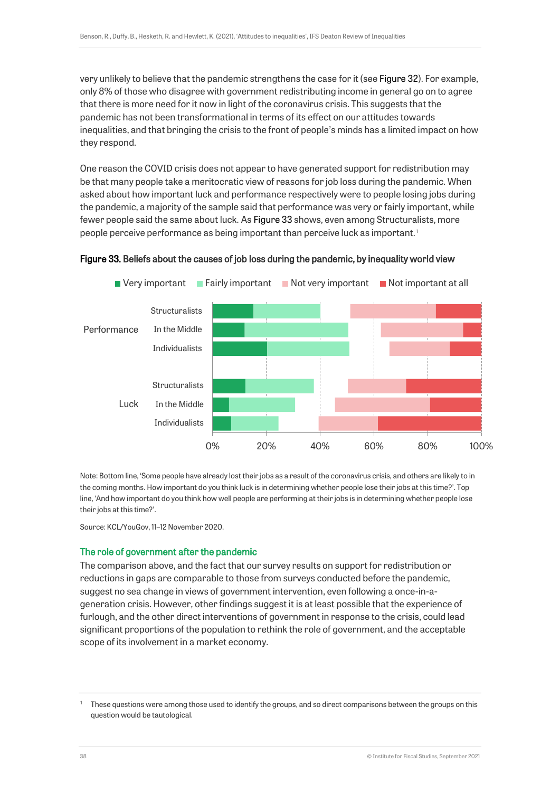very unlikely to believe that the pandemic strengthens the case for it (see Figure 32). For example, only 8% of those who disagree with government redistributing income in general go on to agree that there is more need for it now in light of the coronavirus crisis. This suggests that the pandemic has not been transformational in terms of its effect on our attitudes towards inequalities, and that bringing the crisis to the front of people's minds has a limited impact on how they respond.

One reason the COVID crisis does not appear to have generated support for redistribution may be that many people take a meritocratic view of reasons for job loss during the pandemic. When asked about how important luck and performance respectively were to people losing jobs during the pandemic, a majority of the sample said that performance was very or fairly important, while fewer people said the same about luck. As Figure 33 shows, even among Structuralists, more people perceive performance as being important than perceive luck as important.<sup>1</sup>



#### Figure 33. Beliefs about the causes of job loss during the pandemic, by inequality world view

Note: Bottom line, 'Some people have already lost their jobs as a result of the coronavirus crisis, and others are likely to in the coming months. How important do you think luck is in determining whether people lose their jobs at this time?'. Top line, 'And how important do you think how well people are performing at their jobs is in determining whether people lose their jobs at this time?'.

Source: KCL/YouGov, 11–12 November 2020.

#### The role of government after the pandemic

The comparison above, and the fact that our survey results on support for redistribution or reductions in gaps are comparable to those from surveys conducted before the pandemic, suggest no sea change in views of government intervention, even following a once-in-ageneration crisis. However, other findings suggest it is at least possible that the experience of furlough, and the other direct interventions of government in response to the crisis, could lead significant proportions of the population to rethink the role of government, and the acceptable scope of its involvement in a market economy.

<sup>&</sup>lt;sup>1</sup> These questions were among those used to identify the groups, and so direct comparisons between the groups on this question would be tautological.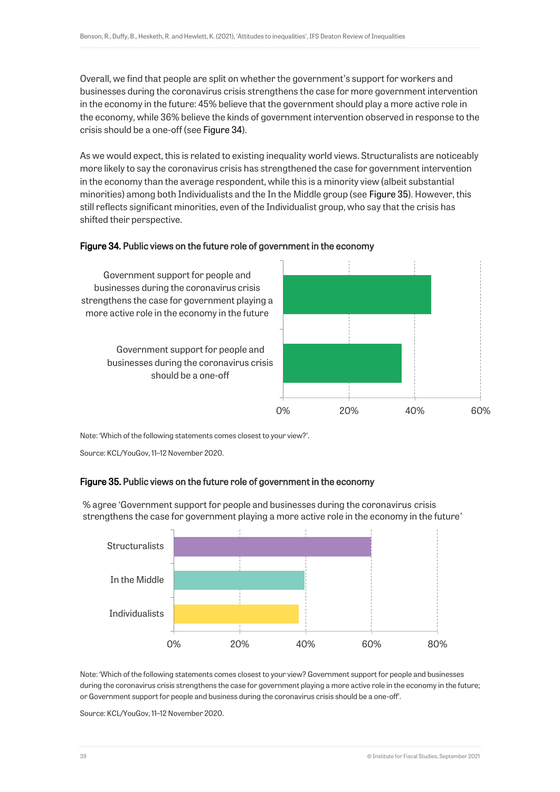Overall, we find that people are split on whether the government's support for workers and businesses during the coronavirus crisis strengthens the case for more government intervention in the economy in the future: 45% believe that the government should play a more active role in the economy, while 36% believe the kinds of government intervention observed in response to the crisis should be a one-off (see Figure 34).

As we would expect, this is related to existing inequality world views. Structuralists are noticeably more likely to say the coronavirus crisis has strengthened the case for government intervention in the economy than the average respondent, while this is a minority view (albeit substantial minorities) among both Individualists and the In the Middle group (see Figure 35). However, this still reflects significant minorities, even of the Individualist group, who say that the crisis has shifted their perspective.

#### Figure 34. Public views on the future role of government in the economy



Note: 'Which of the following statements comes closest to your view?'.

Source: KCL/YouGov, 11–12 November 2020.

#### Figure 35. Public views on the future role of government in the economy

% agree 'Government support for people and businesses during the coronavirus crisis strengthens the case for government playing a more active role in the economy in the future'



Note: 'Which of the following statements comes closest to your view? Government support for people and businesses during the coronavirus crisis strengthens the case for government playing a more active role in the economy in the future; or Government support for people and business during the coronavirus crisis should be a one-off'.

Source: KCL/YouGov, 11–12 November 2020.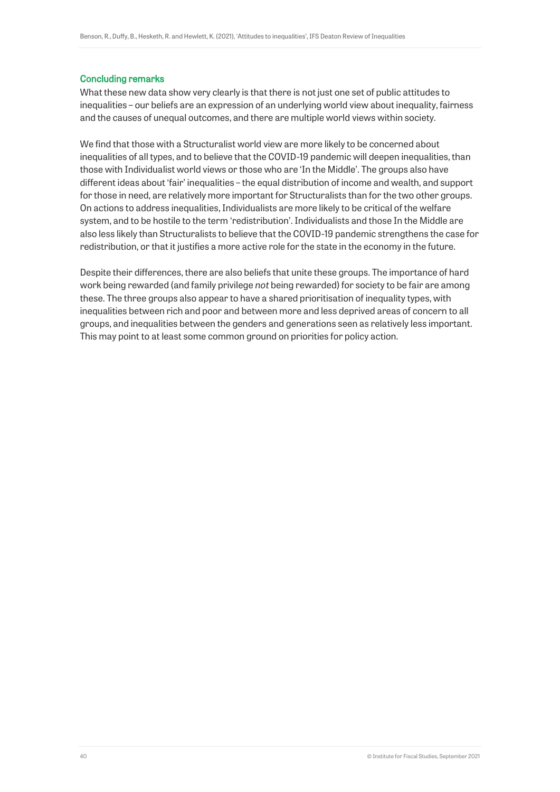#### Concluding remarks

What these new data show very clearly is that there is not just one set of public attitudes to inequalities – our beliefs are an expression of an underlying world view about inequality, fairness and the causes of unequal outcomes, and there are multiple world views within society.

We find that those with a Structuralist world view are more likely to be concerned about inequalities of all types, and to believe that the COVID-19 pandemic will deepen inequalities, than those with Individualist world views or those who are 'In the Middle'. The groups also have different ideas about 'fair' inequalities – the equal distribution of income and wealth, and support for those in need, are relatively more important for Structuralists than for the two other groups. On actions to address inequalities, Individualists are more likely to be critical of the welfare system, and to be hostile to the term 'redistribution'. Individualists and those In the Middle are also less likely than Structuralists to believe that the COVID-19 pandemic strengthens the case for redistribution, or that it justifies a more active role for the state in the economy in the future.

Despite their differences, there are also beliefs that unite these groups. The importance of hard work being rewarded (and family privilege *not* being rewarded) for society to be fair are among these. The three groups also appear to have a shared prioritisation of inequality types, with inequalities between rich and poor and between more and less deprived areas of concern to all groups, and inequalities between the genders and generations seen as relatively less important. This may point to at least some common ground on priorities for policy action.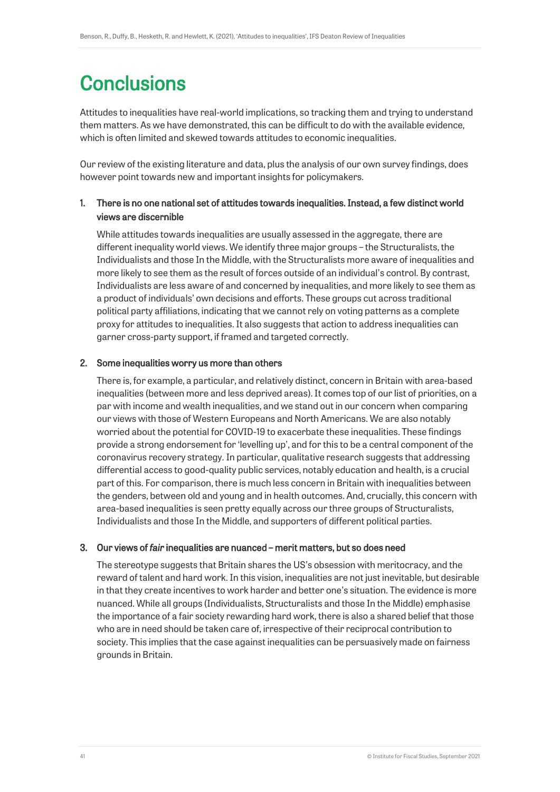# **Conclusions**

Attitudes to inequalities have real-world implications, so tracking them and trying to understand them matters. As we have demonstrated, this can be difficult to do with the available evidence, which is often limited and skewed towards attitudes to economic inequalities.

Our review of the existing literature and data, plus the analysis of our own survey findings, does however point towards new and important insights for policymakers.

#### 1. There is no one national set of attitudes towards inequalities. Instead, a few distinct world views are discernible

While attitudes towards inequalities are usually assessed in the aggregate, there are different inequality world views. We identify three major groups – the Structuralists, the Individualists and those In the Middle, with the Structuralists more aware of inequalities and more likely to see them as the result of forces outside of an individual's control. By contrast, Individualists are less aware of and concerned by inequalities, and more likely to see them as a product of individuals' own decisions and efforts. These groups cut across traditional political party affiliations, indicating that we cannot rely on voting patterns as a complete proxy for attitudes to inequalities. It also suggests that action to address inequalities can garner cross-party support, if framed and targeted correctly.

#### 2. Some inequalities worry us more than others

There is, for example, a particular, and relatively distinct, concern in Britain with area-based inequalities (between more and less deprived areas). It comes top of our list of priorities, on a par with income and wealth inequalities, and we stand out in our concern when comparing our views with those of Western Europeans and North Americans. We are also notably worried about the potential for COVID-19 to exacerbate these inequalities. These findings provide a strong endorsement for 'levelling up', and for this to be a central component of the coronavirus recovery strategy. In particular, qualitative research suggests that addressing differential access to good-quality public services, notably education and health, is a crucial part of this. For comparison, there is much less concern in Britain with inequalities between the genders, between old and young and in health outcomes. And, crucially, this concern with area-based inequalities is seen pretty equally across our three groups of Structuralists, Individualists and those In the Middle, and supporters of different political parties.

#### 3. Our views of *fair* inequalities are nuanced – merit matters, but so does need

The stereotype suggests that Britain shares the US's obsession with meritocracy, and the reward of talent and hard work. In this vision, inequalities are not just inevitable, but desirable in that they create incentives to work harder and better one's situation. The evidence is more nuanced. While all groups (Individualists, Structuralists and those In the Middle) emphasise the importance of a fair society rewarding hard work, there is also a shared belief that those who are in need should be taken care of, irrespective of their reciprocal contribution to society. This implies that the case against inequalities can be persuasively made on fairness grounds in Britain.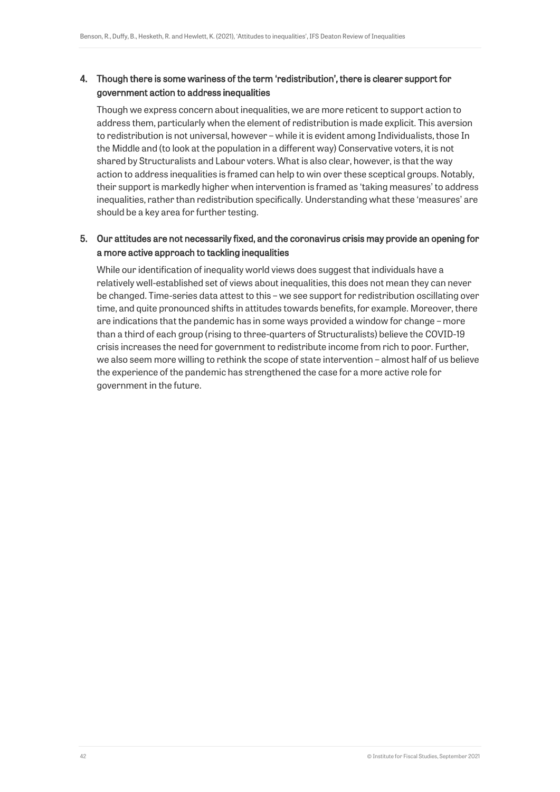#### 4. Though there is some wariness of the term 'redistribution', there is clearer support for government action to address inequalities

Though we express concern about inequalities, we are more reticent to support action to address them, particularly when the element of redistribution is made explicit. This aversion to redistribution is not universal, however – while it is evident among Individualists, those In the Middle and (to look at the population in a different way) Conservative voters, it is not shared by Structuralists and Labour voters. What is also clear, however, is that the way action to address inequalities is framed can help to win over these sceptical groups. Notably, their support is markedly higher when intervention is framed as 'taking measures' to address inequalities, rather than redistribution specifically. Understanding what these 'measures' are should be a key area for further testing.

#### 5. Our attitudes are not necessarily fixed, and the coronavirus crisis may provide an opening for a more active approach to tackling inequalities

While our identification of inequality world views does suggest that individuals have a relatively well-established set of views about inequalities, this does not mean they can never be changed. Time-series data attest to this – we see support for redistribution oscillating over time, and quite pronounced shifts in attitudes towards benefits, for example. Moreover, there are indications that the pandemic has in some ways provided a window for change – more than a third of each group (rising to three-quarters of Structuralists) believe the COVID-19 crisis increases the need for government to redistribute income from rich to poor. Further, we also seem more willing to rethink the scope of state intervention – almost half of us believe the experience of the pandemic has strengthened the case for a more active role for government in the future.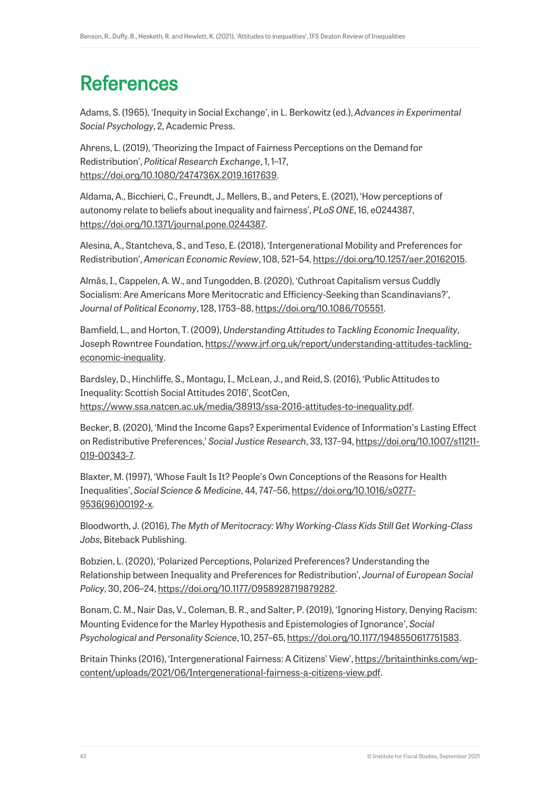# **References**

Adams, S. (1965), 'Inequity in Social Exchange', in L. Berkowitz (ed.), *Advances in Experimental Social Psychology*, 2, Academic Press.

Ahrens, L. (2019), 'Theorizing the Impact of Fairness Perceptions on the Demand for Redistribution', *Political Research Exchange*, 1, 1–17, [https://doi.org/10.1080/2474736X.2019.1617639.](https://doi.org/10.1080/2474736X.2019.1617639)

Aldama, A., Bicchieri, C., Freundt, J., Mellers, B., and Peters, E. (2021), 'How perceptions of autonomy relate to beliefs about inequality and fairness', *PLoS ONE*, 16, e0244387, [https://doi.org/10.1371/journal.pone.0244387.](https://doi.org/10.1371/journal.pone.0244387)

Alesina, A., Stantcheva, S., and Teso, E. (2018), 'Intergenerational Mobility and Preferences for Redistribution', *American Economic Review*, 108, 521–54, [https://doi.org/10.1257/aer.20162015.](https://doi.org/10.1257/aer.20162015)

Almås, I., Cappelen, A. W., and Tungodden, B. (2020), 'Cuthroat Capitalism versus Cuddly Socialism: Are Americans More Meritocratic and Efficiency-Seeking than Scandinavians?', *Journal of Political Economy*, 128, 1753–88, [https://doi.org/10.1086/705551.](https://doi.org/10.1086/705551)

Bamfield, L., and Horton, T. (2009), *Understanding Attitudes to Tackling Economic Inequality*, Joseph Rowntree Foundation[, https://www.jrf.org.uk/report/understanding-attitudes-tackling](https://www.jrf.org.uk/report/understanding-attitudes-tackling-economic-inequality)[economic-inequality.](https://www.jrf.org.uk/report/understanding-attitudes-tackling-economic-inequality)

Bardsley, D., Hinchliffe, S., Montagu, I., McLean, J., and Reid, S. (2016), 'Public Attitudes to Inequality: Scottish Social Attitudes 2016', ScotCen, [https://www.ssa.natcen.ac.uk/media/38913/ssa-2016-attitudes-to-inequality.pdf.](https://www.ssa.natcen.ac.uk/media/38913/ssa-2016-attitudes-to-inequality.pdf)

Becker, B. (2020), 'Mind the Income Gaps? Experimental Evidence of Information's Lasting Effect on Redistributive Preferences,' *Social Justice Research*, 33, 137–94, [https://doi.org/10.1007/s11211-](https://doi.org/10.1007/s11211-019-00343-7) [019-00343-7.](https://doi.org/10.1007/s11211-019-00343-7)

Blaxter, M. (1997), 'Whose Fault Is It? People's Own Conceptions of the Reasons for Health Inequalities', *Social Science & Medicine*, 44, 747–56, https://doi.org[/10.1016/s0277-](https://doi.org/10.1016/s0277-9536(96)00192-x) [9536\(96\)00192-x.](https://doi.org/10.1016/s0277-9536(96)00192-x)

Bloodworth, J. (2016), *The Myth of Meritocracy: Why Working-Class Kids Still Get Working-Class Jobs*, Biteback Publishing.

Bobzien, L. (2020), 'Polarized Perceptions, Polarized Preferences? Understanding the Relationship between Inequality and Preferences for Redistribution', *Journal of European Social Policy*, 30, 206–24, [https://doi.org/10.1177/0958928719879282.](https://doi.org/10.1177%2F0958928719879282)

Bonam, C. M., Nair Das, V., Coleman, B. R., and Salter, P. (2019), 'Ignoring History, Denying Racism: Mounting Evidence for the Marley Hypothesis and Epistemologies of Ignorance', *Social Psychological and Personality Science*, 10, 257–65, [https://doi.org/10.1177/1948550617751583.](https://doi.org/10.1177%2F1948550617751583)

Britain Thinks (2016), 'Intergenerational Fairness: A Citizens' View', [https://britainthinks.com/wp](https://britainthinks.com/wp-content/uploads/2021/06/Intergenerational-fairness-a-citizens-view.pdf)[content/uploads/2021/06/Intergenerational-fairness-a-citizens-view.pdf.](https://britainthinks.com/wp-content/uploads/2021/06/Intergenerational-fairness-a-citizens-view.pdf)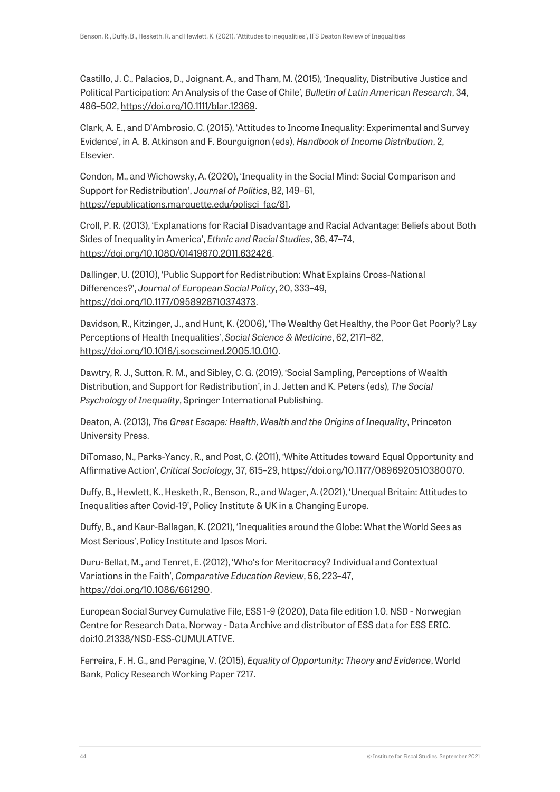Castillo, J. C., Palacios, D., Joignant, A., and Tham, M. (2015), 'Inequality, Distributive Justice and Political Participation: An Analysis of the Case of Chile'*, Bulletin of Latin American Research*, 34, 486–502, [https://doi.org/10.1111/blar.12369.](https://doi.org/10.1111/blar.12369)

Clark, A. E., and D'Ambrosio, C. (2015), 'Attitudes to Income Inequality: Experimental and Survey Evidence', in A. B. Atkinson and F. Bourguignon (eds), *Handbook of Income Distribution*, 2, Elsevier.

Condon, M., and Wichowsky, A. (2020), 'Inequality in the Social Mind: Social Comparison and Support for Redistribution', *Journal of Politics*, 82, 149–61, [https://epublications.marquette.edu/polisci\\_fac/81.](https://epublications.marquette.edu/polisci_fac/81)

Croll, P. R. (2013), 'Explanations for Racial Disadvantage and Racial Advantage: Beliefs about Both Sides of Inequality in America', *Ethnic and Racial Studies*, 36, 47–74, [https://doi.org/10.1080/01419870.2011.632426.](https://doi.org/10.1080/01419870.2011.632426)

Dallinger, U. (2010), 'Public Support for Redistribution: What Explains Cross-National Differences?', *Journal of European Social Policy*, 20, 333–49, [https://doi.org/10.1177/0958928710374373.](https://doi.org/10.1177%2F0958928710374373)

Davidson, R., Kitzinger, J., and Hunt, K. (2006), 'The Wealthy Get Healthy, the Poor Get Poorly? Lay Perceptions of Health Inequalities', *Social Science & Medicine*, 62, 2171–82, https://doi.org[/10.1016/j.socscimed.2005.10.010.](https://doi.org/10.1016/j.socscimed.2005.10.010)

Dawtry, R. J., Sutton, R. M., and Sibley, C. G. (2019), 'Social Sampling, Perceptions of Wealth Distribution, and Support for Redistribution', in J. Jetten and K. Peters (eds), *The Social Psychology of Inequality*, Springer International Publishing.

Deaton, A. (2013), *The Great Escape: Health, Wealth and the Origins of Inequality*, Princeton University Press.

DiTomaso, N., Parks-Yancy, R., and Post, C. (2011), 'White Attitudes toward Equal Opportunity and Affirmative Action', *Critical Sociology*, 37, 615–29, [https://doi.org/10.1177/0896920510380070.](https://doi.org/10.1177/0896920510380070)

Duffy, B., Hewlett, K., Hesketh, R., Benson, R., and Wager, A. (2021), 'Unequal Britain: Attitudes to Inequalities after Covid-19', Policy Institute & UK in a Changing Europe.

Duffy, B., and Kaur-Ballagan, K. (2021), 'Inequalities around the Globe: What the World Sees as Most Serious', Policy Institute and Ipsos Mori.

Duru-Bellat, M., and Tenret, E. (2012), 'Who's for Meritocracy? Individual and Contextual Variations in the Faith', *Comparative Education Review*, 56, 223–47, [https://doi.org/10.1086/661290.](https://doi.org/10.1086/661290)

European Social Survey Cumulative File, ESS 1-9 (2020), Data file edition 1.0. NSD - Norwegian Centre for Research Data, Norway - Data Archive and distributor of ESS data for ESS ERIC. [doi:10.21338/NSD-ESS-CUMULATIVE.](http://dx.doi.org/10.21338/NSD-ESS-CUMULATIVE)

Ferreira, F. H. G., and Peragine, V. (2015), *Equality of Opportunity: Theory and Evidence*, World Bank, Policy Research Working Paper 7217.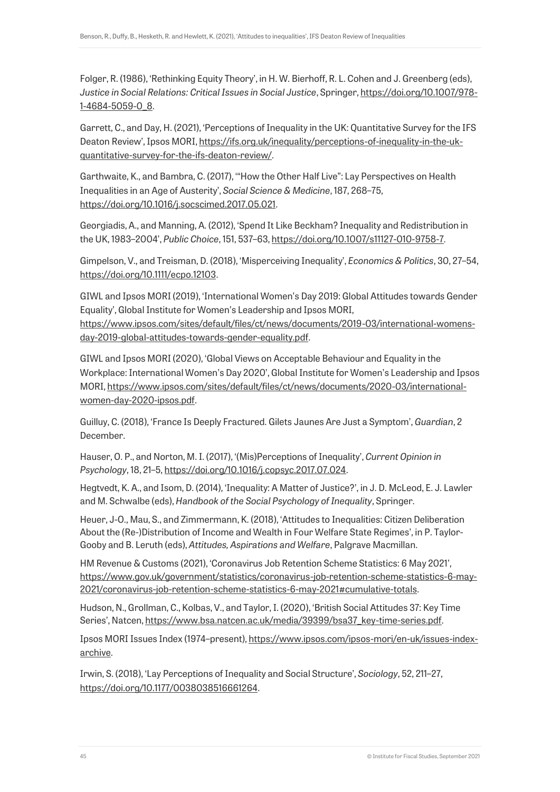Folger, R. (1986), 'Rethinking Equity Theory', in H. W. Bierhoff, R. L. Cohen and J. Greenberg (eds), *Justice in Social Relations: Critical Issues in Social Justice*, Springer, [https://doi.org/10.1007/978-](https://doi.org/10.1007/978-1-4684-5059-0_8) [1-4684-5059-0\\_8.](https://doi.org/10.1007/978-1-4684-5059-0_8)

Garrett, C., and Day, H. (2021), 'Perceptions of Inequality in the UK: Quantitative Survey for the IFS Deaton Review', Ipsos MORI[, https://ifs.org.uk/inequality/perceptions-of-inequality-in-the-uk](https://ifs.org.uk/inequality/perceptions-of-inequality-in-the-uk-quantitative-survey-for-the-ifs-deaton-review/)[quantitative-survey-for-the-ifs-deaton-review/.](https://ifs.org.uk/inequality/perceptions-of-inequality-in-the-uk-quantitative-survey-for-the-ifs-deaton-review/)

Garthwaite, K., and Bambra, C. (2017), '"How the Other Half Live": Lay Perspectives on Health Inequalities in an Age of Austerity', *Social Science & Medicine*, 187, 268–75, https://doi.org[/10.1016/j.socscimed.2017.05.021.](https://dx.doi.org/10.1016%2Fj.socscimed.2017.05.021)

Georgiadis, A., and Manning, A. (2012), 'Spend It Like Beckham? Inequality and Redistribution in the UK, 1983–2004', *Public Choice*, 151, 537–63, [https://doi.org/10.1007/s11127-010-9758-7.](https://doi.org/10.1007/s11127-010-9758-7)

Gimpelson, V., and Treisman, D. (2018), 'Misperceiving Inequality', *Economics & Politics*, 30, 27–54, [https://doi.org/10.1111/ecpo.12103.](https://doi.org/10.1111/ecpo.12103)

GIWL and Ipsos MORI (2019), 'International Women's Day 2019: Global Attitudes towards Gender Equality', Global Institute for Women's Leadership and Ipsos MORI, [https://www.ipsos.com/sites/default/files/ct/news/documents/2019-03/international-womens-](https://www.ipsos.com/sites/default/files/ct/news/documents/2019-03/international-womens-day-2019-global-attitudes-towards-gender-equality.pdf)

[day-2019-global-attitudes-towards-gender-equality.pdf.](https://www.ipsos.com/sites/default/files/ct/news/documents/2019-03/international-womens-day-2019-global-attitudes-towards-gender-equality.pdf)

GIWL and Ipsos MORI (2020), 'Global Views on Acceptable Behaviour and Equality in the Workplace: International Women's Day 2020', Global Institute for Women's Leadership and Ipsos MORI, [https://www.ipsos.com/sites/default/files/ct/news/documents/2020-03/international](https://www.ipsos.com/sites/default/files/ct/news/documents/2020-03/international-women-day-2020-ipsos.pdf)[women-day-2020-ipsos.pdf.](https://www.ipsos.com/sites/default/files/ct/news/documents/2020-03/international-women-day-2020-ipsos.pdf)

Guilluy, C. (2018), 'France Is Deeply Fractured. Gilets Jaunes Are Just a Symptom', *Guardian*, 2 December.

Hauser, O. P., and Norton, M. I. (2017), '(Mis)Perceptions of Inequality', *Current Opinion in Psychology*, 18, 21–5, [https://doi.org/10.1016/j.copsyc.2017.07.024.](https://doi.org/10.1016/j.copsyc.2017.07.024)

Hegtvedt, K. A., and Isom, D. (2014), 'Inequality: A Matter of Justice?', in J. D. McLeod, E. J. Lawler and M. Schwalbe (eds), *Handbook of the Social Psychology of Inequality*, Springer.

Heuer, J-O., Mau, S., and Zimmermann, K. (2018), 'Attitudes to Inequalities: Citizen Deliberation About the (Re-)Distribution of Income and Wealth in Four Welfare State Regimes', in P. Taylor-Gooby and B. Leruth (eds), *Attitudes, Aspirations and Welfare*, Palgrave Macmillan.

HM Revenue & Customs (2021), 'Coronavirus Job Retention Scheme Statistics: 6 May 2021', [https://www.gov.uk/government/statistics/coronavirus-job-retention-scheme-statistics-6-may-](https://www.gov.uk/government/statistics/coronavirus-job-retention-scheme-statistics-6-may-2021/coronavirus-job-retention-scheme-statistics-6-may-2021#cumulative-totals)[2021/coronavirus-job-retention-scheme-statistics-6-may-2021#cumulative-totals.](https://www.gov.uk/government/statistics/coronavirus-job-retention-scheme-statistics-6-may-2021/coronavirus-job-retention-scheme-statistics-6-may-2021#cumulative-totals)

Hudson, N., Grollman, C., Kolbas, V., and Taylor, I. (2020), 'British Social Attitudes 37: Key Time Series', Natcen[, https://www.bsa.natcen.ac.uk/media/39399/bsa37\\_key-time-series.pdf.](https://www.bsa.natcen.ac.uk/media/39399/bsa37_key-time-series.pdf)

Ipsos MORI Issues Index (1974–present), [https://www.ipsos.com/ipsos-mori/en-uk/issues-index](https://www.ipsos.com/ipsos-mori/en-uk/issues-index-archive)[archive.](https://www.ipsos.com/ipsos-mori/en-uk/issues-index-archive)

Irwin, S. (2018), 'Lay Perceptions of Inequality and Social Structure', *Sociology*, 52, 211–27, [https://doi.org/10.1177/0038038516661264.](https://doi.org/10.1177%2F0038038516661264)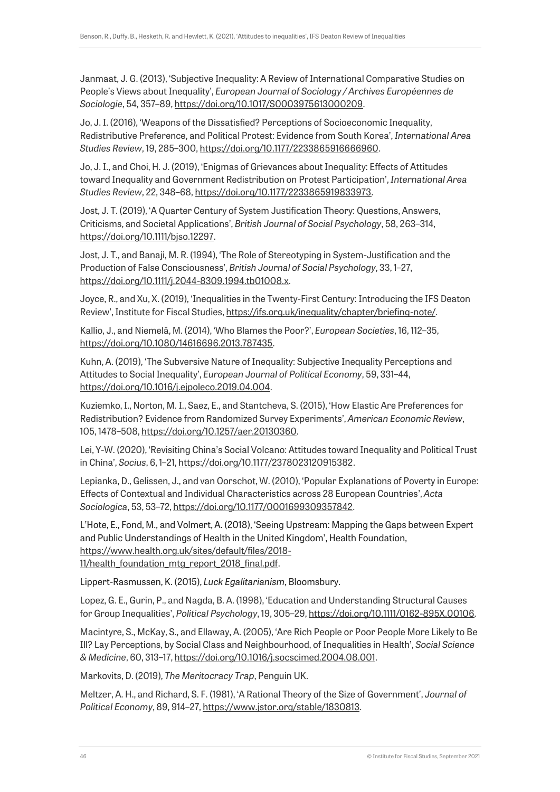Janmaat, J. G. (2013), 'Subjective Inequality: A Review of International Comparative Studies on People's Views about Inequality', *European Journal of Sociology / Archives Européennes de Sociologie*, 54, 357–89, [https://doi.org/10.1017/S0003975613000209.](https://doi.org/10.1017/S0003975613000209)

Jo, J. I. (2016), 'Weapons of the Dissatisfied? Perceptions of Socioeconomic Inequality, Redistributive Preference, and Political Protest: Evidence from South Korea', *International Area Studies Review*, 19, 285–300, [https://doi.org/10.1177/2233865916666960.](https://doi.org/10.1177%2F2233865916666960)

Jo, J. I., and Choi, H. J. (2019), 'Enigmas of Grievances about Inequality: Effects of Attitudes toward Inequality and Government Redistribution on Protest Participation', *International Area Studies Review*, 22, 348–68, [https://doi.org/10.1177/2233865919833973.](https://doi.org/10.1177%2F2233865919833973)

Jost, J. T. (2019), 'A Quarter Century of System Justification Theory: Questions, Answers, Criticisms, and Societal Applications', *British Journal of Social Psychology*, 58, 263–314, [https://doi.org/10.1111/bjso.12297.](https://doi.org/10.1111/bjso.12297)

Jost, J. T., and Banaji, M. R. (1994), 'The Role of Stereotyping in System-Justification and the Production of False Consciousness', *British Journal of Social Psychology*, 33, 1–27, [https://doi.org/10.1111/j.2044-8309.1994.tb01008.x.](https://psycnet.apa.org/doi/10.1111/j.2044-8309.1994.tb01008.x)

Joyce, R., and Xu, X. (2019), 'Inequalities in the Twenty-First Century: Introducing the IFS Deaton Review', Institute for Fiscal Studies, [https://ifs.org.uk/inequality/chapter/briefing-note/.](https://ifs.org.uk/inequality/chapter/briefing-note/)

Kallio, J., and Niemelä, M. (2014), 'Who Blames the Poor?', *European Societies*, 16, 112–35, [https://doi.org/10.1080/14616696.2013.787435.](https://doi.org/10.1080/14616696.2013.787435)

Kuhn, A. (2019), 'The Subversive Nature of Inequality: Subjective Inequality Perceptions and Attitudes to Social Inequality', *European Journal of Political Economy*, 59, 331–44, [https://doi.org/10.1016/j.ejpoleco.2019.04.004.](https://doi.org/10.1016/j.ejpoleco.2019.04.004)

Kuziemko, I., Norton, M. I., Saez, E., and Stantcheva, S. (2015), 'How Elastic Are Preferences for Redistribution? Evidence from Randomized Survey Experiments', *American Economic Review*, 105, 1478–508, [https://doi.org/10.1257/aer.20130360.](https://doi.org/10.1257/aer.20130360)

Lei, Y-W. (2020), 'Revisiting China's Social Volcano: Attitudes toward Inequality and Political Trust in China', *Socius*, 6, 1–21, [https://doi.org/10.1177/2378023120915382.](https://doi.org/10.1177%2F2378023120915382)

Lepianka, D., Gelissen, J., and van Oorschot, W. (2010), 'Popular Explanations of Poverty in Europe: Effects of Contextual and Individual Characteristics across 28 European Countries', *Acta Sociologica*, 53, 53–72, [https://doi.org/10.1177/0001699309357842.](https://psycnet.apa.org/doi/10.1177/0001699309357842)

L'Hote, E., Fond, M., and Volmert, A. (2018), 'Seeing Upstream: Mapping the Gaps between Expert and Public Understandings of Health in the United Kingdom', Health Foundation, [https://www.health.org.uk/sites/default/files/2018-](https://www.health.org.uk/sites/default/files/2018-11/health_foundation_mtg_report_2018_final.pdf) [11/health\\_foundation\\_mtg\\_report\\_2018\\_final.pdf.](https://www.health.org.uk/sites/default/files/2018-11/health_foundation_mtg_report_2018_final.pdf)

Lippert-Rasmussen, K. (2015), *Luck Egalitarianism*, Bloomsbury.

Lopez, G. E., Gurin, P., and Nagda, B. A. (1998), 'Education and Understanding Structural Causes for Group Inequalities', *Political Psychology*, 19, 305–29, [https://doi.org/10.1111/0162-895X.00106.](https://psycnet.apa.org/doi/10.1111/0162-895X.00106)

Macintyre, S., McKay, S., and Ellaway, A. (2005), 'Are Rich People or Poor People More Likely to Be Ill? Lay Perceptions, by Social Class and Neighbourhood, of Inequalities in Health', *Social Science & Medicine*, 60, 313–17, https://doi.org[/10.1016/j.socscimed.2004.08.001.](https://doi.org/10.1016/j.socscimed.2004.08.001)

Markovits, D. (2019), *The Meritocracy Trap*, Penguin UK.

Meltzer, A. H., and Richard, S. F. (1981), 'A Rational Theory of the Size of Government', *Journal of Political Economy*, 89, 914–27, [https://www.jstor.org/stable/1830813.](https://www.jstor.org/stable/1830813)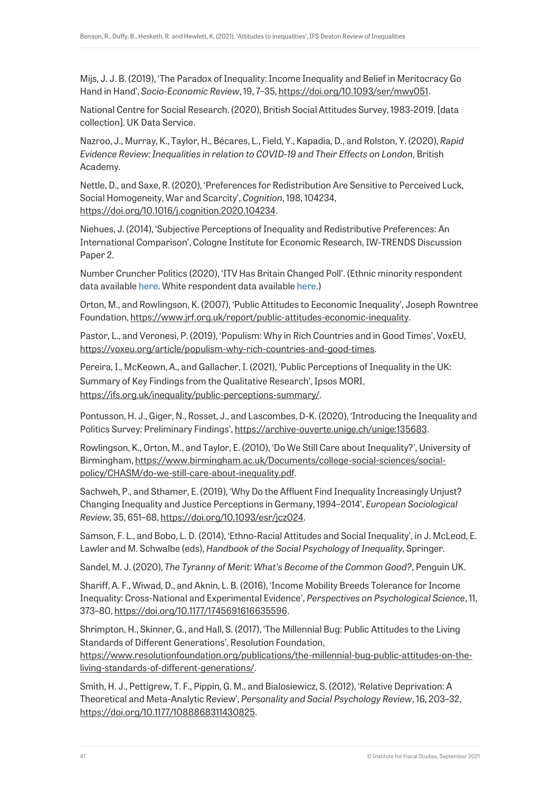Mijs, J. J. B. (2019), 'The Paradox of Inequality: Income Inequality and Belief in Meritocracy Go Hand in Hand', *Socio-Economic Review*, 19, 7–35[, https://doi.org/10.1093/ser/mwy051.](https://doi.org/10.1093/ser/mwy051)

National Centre for Social Research. (2020), British Social Attitudes Survey, 1983-2019. [data collection]. UK Data Service.

Nazroo, J., Murray, K., Taylor, H., Bécares, L., Field, Y., Kapadia, D., and Rolston, Y. (2020), *Rapid Evidence Review: Inequalities in relation to COVID-19 and Their Effects on London*, British Academy.

Nettle, D., and Saxe, R. (2020), 'Preferences for Redistribution Are Sensitive to Perceived Luck, Social Homogeneity, War and Scarcity', *Cognition*, 198, 104234, [https://doi.org/10.1016/j.cognition.2020.104234.](https://doi.org/10.1016/j.cognition.2020.104234)

Niehues, J. (2014), 'Subjective Perceptions of Inequality and Redistributive Preferences: An International Comparison', Cologne Institute for Economic Research, IW-TRENDS Discussion Paper 2.

Number Cruncher Politics (2020), 'ITV Has Britain Changed Poll'. (Ethnic minority respondent data availabl[e here.](https://www.ncpolitics.uk/wp-content/uploads/sites/5/2020/07/itv-has-britain-changed-tabs-ethnic-minority.pdf) White respondent data availabl[e here.](https://www.ncpolitics.uk/wp-content/uploads/sites/5/2020/07/itv-has-britain-changed-tabs-white.pdf))

Orton, M., and Rowlingson, K. (2007), 'Public Attitudes to Eeconomic Inequality', Joseph Rowntree Foundation, [https://www.jrf.org.uk/report/public-attitudes-economic-inequality.](https://www.jrf.org.uk/report/public-attitudes-economic-inequality)

Pastor, L., and Veronesi, P. (2019), 'Populism: Why in Rich Countries and in Good Times', VoxEU, [https://voxeu.org/article/populism-why-rich-countries-and-good-times.](https://voxeu.org/article/populism-why-rich-countries-and-good-times)

Pereira, I., McKeown, A., and Gallacher, I. (2021), 'Public Perceptions of Inequality in the UK: Summary of Key Findings from the Qualitative Research', Ipsos MORI, [https://ifs.org.uk/inequality/public-perceptions-summary/.](https://ifs.org.uk/inequality/public-perceptions-summary/)

Pontusson, H. J., Giger, N., Rosset, J., and Lascombes, D-K. (2020), 'Introducing the Inequality and Politics Survey: Preliminary Findings', [https://archive-ouverte.unige.ch/unige:135683.](https://archive-ouverte.unige.ch/unige:135683)

Rowlingson, K., Orton, M., and Taylor, E. (2010), 'Do We Still Care about Inequality?', University of Birmingham, [https://www.birmingham.ac.uk/Documents/college-social-sciences/social](https://www.birmingham.ac.uk/Documents/college-social-sciences/social-policy/CHASM/do-we-still-care-about-inequality.pdf)[policy/CHASM/do-we-still-care-about-inequality.pdf.](https://www.birmingham.ac.uk/Documents/college-social-sciences/social-policy/CHASM/do-we-still-care-about-inequality.pdf)

Sachweh, P., and Sthamer, E. (2019), 'Why Do the Affluent Find Inequality Increasingly Unjust? Changing Inequality and Justice Perceptions in Germany, 1994–2014', *European Sociological Review*, 35, 651–68, [https://doi.org/10.1093/esr/jcz024.](https://doi.org/10.1093/esr/jcz024)

Samson, F. L., and Bobo, L. D. (2014), 'Ethno-Racial Attitudes and Social Inequality', in J. McLeod, E. Lawler and M. Schwalbe (eds), *Handbook of the Social Psychology of Inequality*, Springer.

Sandel, M. J. (2020), *The Tyranny of Merit: What's Become of the Common Good?*, Penguin UK.

Shariff, A. F., Wiwad, D., and Aknin, L. B. (2016), 'Income Mobility Breeds Tolerance for Income Inequality: Cross-National and Experimental Evidence', *Perspectives on Psychological Science*, 11, 373–80, https://doi.org[/10.1177/1745691616635596.](https://doi.org/10.1177/1745691616635596)

Shrimpton, H., Skinner, G., and Hall, S. (2017), 'The Millennial Bug: Public Attitudes to the Living Standards of Different Generations', Resolution Foundation,

[https://www.resolutionfoundation.org/publications/the-millennial-bug-public-attitudes-on-the](https://www.resolutionfoundation.org/publications/the-millennial-bug-public-attitudes-on-the-living-standards-of-different-generations/)[living-standards-of-different-generations/.](https://www.resolutionfoundation.org/publications/the-millennial-bug-public-attitudes-on-the-living-standards-of-different-generations/)

Smith, H. J., Pettigrew, T. F., Pippin, G. M., and Bialosiewicz, S. (2012), 'Relative Deprivation: A Theoretical and Meta-Analytic Review', *Personality and Social Psychology Review*, 16, 203–32, [https://doi.org/10.1177/1088868311430825.](https://doi.org/10.1177%2F1088868311430825)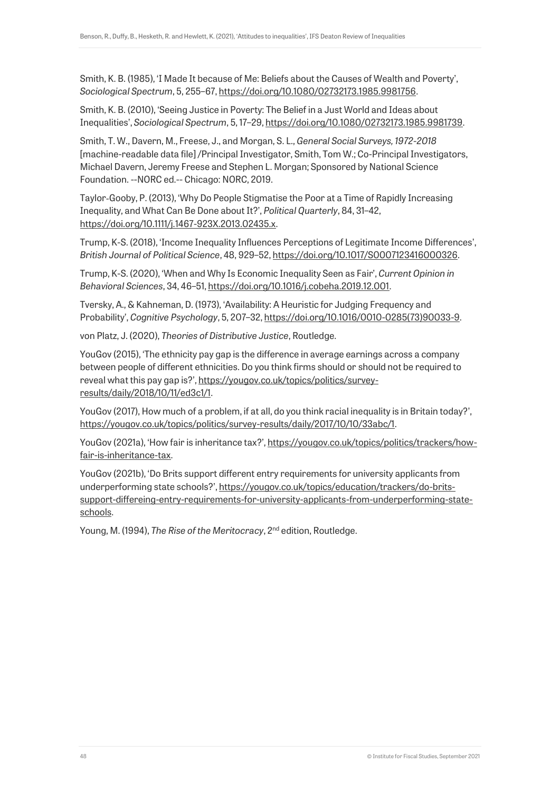Smith, K. B. (1985), 'I Made It because of Me: Beliefs about the Causes of Wealth and Poverty', *Sociological Spectrum*, 5, 255–67, [https://doi.org/10.1080/02732173.1985.9981756.](https://doi.org/10.1080/02732173.1985.9981756)

Smith, K. B. (2010), 'Seeing Justice in Poverty: The Belief in a Just World and Ideas about Inequalities', *Sociological Spectrum*, 5, 17–29[, https://doi.org/10.1080/02732173.1985.9981739.](https://doi.org/10.1080/02732173.1985.9981739)

Smith, T. W., Davern, M., Freese, J., and Morgan, S. L., *General Social Surveys, 1972-2018* [machine-readable data file] /Principal Investigator, Smith, Tom W.; Co-Principal Investigators, Michael Davern, Jeremy Freese and Stephen L. Morgan; Sponsored by National Science Foundation. --NORC ed.-- Chicago: NORC, 2019.

Taylor‐Gooby, P. (2013), 'Why Do People Stigmatise the Poor at a Time of Rapidly Increasing Inequality, and What Can Be Done about It?', *Political Quarterly*, 84, 31–42, [https://doi.org/10.1111/j.1467-923X.2013.02435.x.](https://doi.org/10.1111/j.1467-923X.2013.02435.x)

Trump, K-S. (2018), 'Income Inequality Influences Perceptions of Legitimate Income Differences', *British Journal of Political Science*, 48, 929–52, [https://doi.org/10.1017/S0007123416000326.](https://doi.org/10.1017/S0007123416000326)

Trump, K-S. (2020), 'When and Why Is Economic Inequality Seen as Fair', *Current Opinion in Behavioral Sciences*, 34, 46–51, [https://doi.org/10.1016/j.cobeha.2019.12.001.](https://psycnet.apa.org/doi/10.1016/j.cobeha.2019.12.001)

Tversky, A., & Kahneman, D. (1973), 'Availability: A Heuristic for Judging Frequency and Probability', *Cognitive Psychology*, 5, 207–32, [https://doi.org/10.1016/0010-0285\(73\)90033-9.](https://doi.org/10.1016/0010-0285(73)90033-9)

von Platz, J. (2020), *Theories of Distributive Justice*, Routledge.

YouGov (2015), 'The ethnicity pay gap is the difference in average earnings across a company between people of different ethnicities. Do you think firms should or should not be required to reveal what this pay gap is?', [https://yougov.co.uk/topics/politics/survey](https://yougov.co.uk/topics/politics/survey-results/daily/2018/10/11/ed3c1/1)[results/daily/2018/10/11/ed3c1/1.](https://yougov.co.uk/topics/politics/survey-results/daily/2018/10/11/ed3c1/1)

YouGov (2017), How much of a problem, if at all, do you think racial inequality is in Britain today?', [https://yougov.co.uk/topics/politics/survey-results/daily/2017/10/10/33abc/1.](https://yougov.co.uk/topics/politics/survey-results/daily/2017/10/10/33abc/1)

YouGov (2021a), 'How fair is inheritance tax?', [https://yougov.co.uk/topics/politics/trackers/how](https://yougov.co.uk/topics/politics/trackers/how-fair-is-inheritance-tax)[fair-is-inheritance-tax.](https://yougov.co.uk/topics/politics/trackers/how-fair-is-inheritance-tax)

YouGov (2021b), 'Do Brits support different entry requirements for university applicants from underperforming state schools?', [https://yougov.co.uk/topics/education/trackers/do-brits](https://yougov.co.uk/topics/education/trackers/do-brits-support-differeing-entry-requirements-for-university-applicants-from-underperforming-state-schools)[support-differeing-entry-requirements-for-university-applicants-from-underperforming-state](https://yougov.co.uk/topics/education/trackers/do-brits-support-differeing-entry-requirements-for-university-applicants-from-underperforming-state-schools)[schools.](https://yougov.co.uk/topics/education/trackers/do-brits-support-differeing-entry-requirements-for-university-applicants-from-underperforming-state-schools)

Young, M. (1994), *The Rise of the Meritocracy*, 2<sup>nd</sup> edition, Routledge.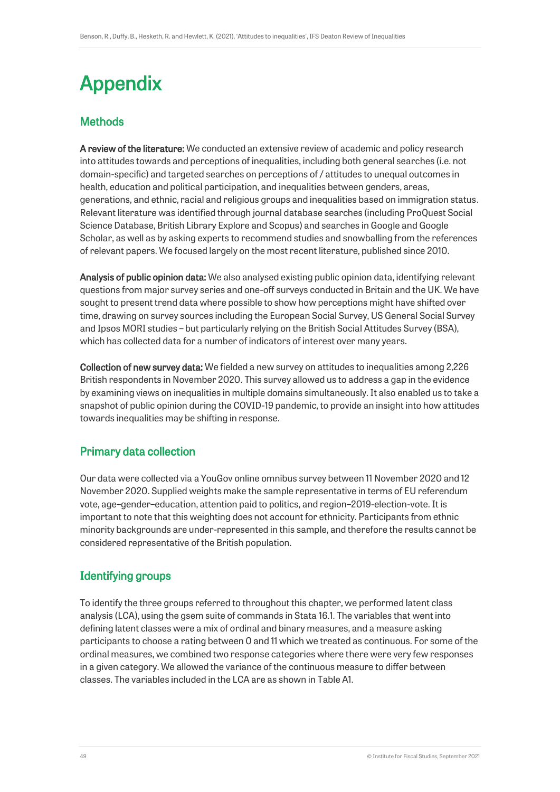# Appendix

# **Methods**

A review of the literature: We conducted an extensive review of academic and policy research into attitudes towards and perceptions of inequalities, including both general searches (i.e. not domain-specific) and targeted searches on perceptions of / attitudes to unequal outcomes in health, education and political participation, and inequalities between genders, areas, generations, and ethnic, racial and religious groups and inequalities based on immigration status. Relevant literature was identified through journal database searches (including ProQuest Social Science Database, British Library Explore and Scopus) and searches in Google and Google Scholar, as well as by asking experts to recommend studies and snowballing from the references of relevant papers. We focused largely on the most recent literature, published since 2010.

Analysis of public opinion data: We also analysed existing public opinion data, identifying relevant questions from major survey series and one-off surveys conducted in Britain and the UK. We have sought to present trend data where possible to show how perceptions might have shifted over time, drawing on survey sources including the European Social Survey, US General Social Survey and Ipsos MORI studies – but particularly relying on the British Social Attitudes Survey (BSA), which has collected data for a number of indicators of interest over many years.

Collection of new survey data: We fielded a new survey on attitudes to inequalities among 2,226 British respondents in November 2020. This survey allowed us to address a gap in the evidence by examining views on inequalities in multiple domains simultaneously. It also enabled us to take a snapshot of public opinion during the COVID-19 pandemic, to provide an insight into how attitudes towards inequalities may be shifting in response.

# Primary data collection

Our data were collected via a YouGov online omnibus survey between 11 November 2020 and 12 November 2020. Supplied weights make the sample representative in terms of EU referendum vote, age–gender–education, attention paid to politics, and region–2019-election-vote. It is important to note that this weighting does not account for ethnicity. Participants from ethnic minority backgrounds are under-represented in this sample, and therefore the results cannot be considered representative of the British population.

# Identifying groups

To identify the three groups referred to throughout this chapter, we performed latent class analysis (LCA), using the gsem suite of commands in Stata 16.1. The variables that went into defining latent classes were a mix of ordinal and binary measures, and a measure asking participants to choose a rating between 0 and 11 which we treated as continuous. For some of the ordinal measures, we combined two response categories where there were very few responses in a given category. We allowed the variance of the continuous measure to differ between classes. The variables included in the LCA are as shown in Table A1.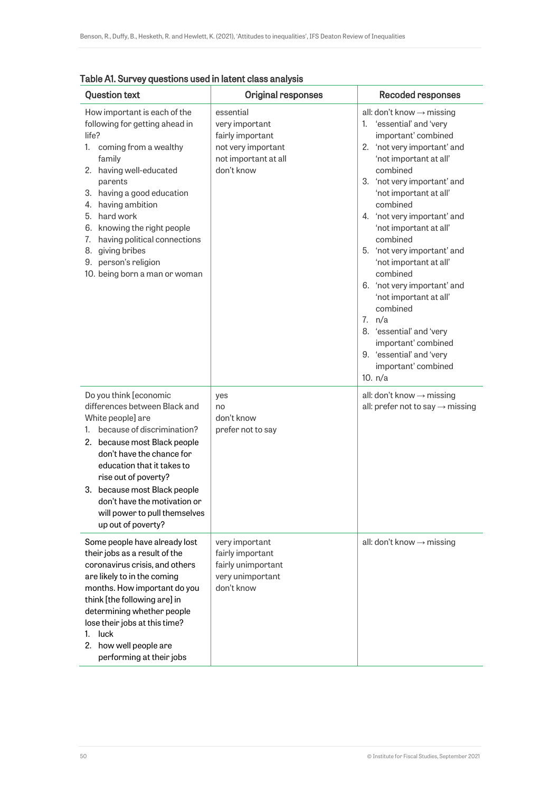| Table Al. Survey questions used in latent class analysis<br><b>Question text</b>                                                                                                                                                                                                                                                                                                   | Original responses                                                                                          | <b>Recoded responses</b>                                                                                                                                                                                                                                                                                                                                                                                                                                                                                                                                                       |
|------------------------------------------------------------------------------------------------------------------------------------------------------------------------------------------------------------------------------------------------------------------------------------------------------------------------------------------------------------------------------------|-------------------------------------------------------------------------------------------------------------|--------------------------------------------------------------------------------------------------------------------------------------------------------------------------------------------------------------------------------------------------------------------------------------------------------------------------------------------------------------------------------------------------------------------------------------------------------------------------------------------------------------------------------------------------------------------------------|
| How important is each of the<br>following for getting ahead in<br>life?<br>coming from a wealthy<br>1.<br>family<br>2. having well-educated<br>parents<br>3. having a good education<br>having ambition<br>4.<br>5. hard work<br>6. knowing the right people<br>having political connections<br>7.<br>giving bribes<br>8.<br>9. person's religion<br>10. being born a man or woman | essential<br>very important<br>fairly important<br>not very important<br>not important at all<br>don't know | all: don't know $\rightarrow$ missing<br>1. 'essential' and 'very<br>important' combined<br>2. 'not very important' and<br>'not important at all'<br>combined<br>3. 'not very important' and<br>'not important at all'<br>combined<br>4. 'not very important' and<br>'not important at all'<br>combined<br>5. 'not very important' and<br>'not important at all'<br>combined<br>6. 'not very important' and<br>'not important at all'<br>combined<br>7. n/a<br>8. 'essential' and 'very<br>important' combined<br>9. 'essential' and 'very<br>important' combined<br>10. $n/a$ |
| Do you think [economic<br>differences between Black and<br>White people] are<br>because of discrimination?<br>1.<br>2. because most Black people<br>don't have the chance for<br>education that it takes to<br>rise out of poverty?<br>3. because most Black people<br>don't have the motivation or<br>will power to pull themselves<br>up out of poverty?                         | yes<br>no<br>don't know<br>prefer not to say                                                                | all: don't know $\rightarrow$ missing<br>all: prefer not to say $\rightarrow$ missing                                                                                                                                                                                                                                                                                                                                                                                                                                                                                          |
| Some people have already lost<br>their jobs as a result of the<br>coronavirus crisis, and others<br>are likely to in the coming<br>months. How important do you<br>think [the following are] in<br>determining whether people<br>lose their jobs at this time?<br>1. luck<br>how well people are<br>2.<br>performing at their jobs                                                 | very important<br>fairly important<br>fairly unimportant<br>very unimportant<br>don't know                  | all: don't know $\rightarrow$ missing                                                                                                                                                                                                                                                                                                                                                                                                                                                                                                                                          |

#### Table A1. Survey questions used in latent class analysis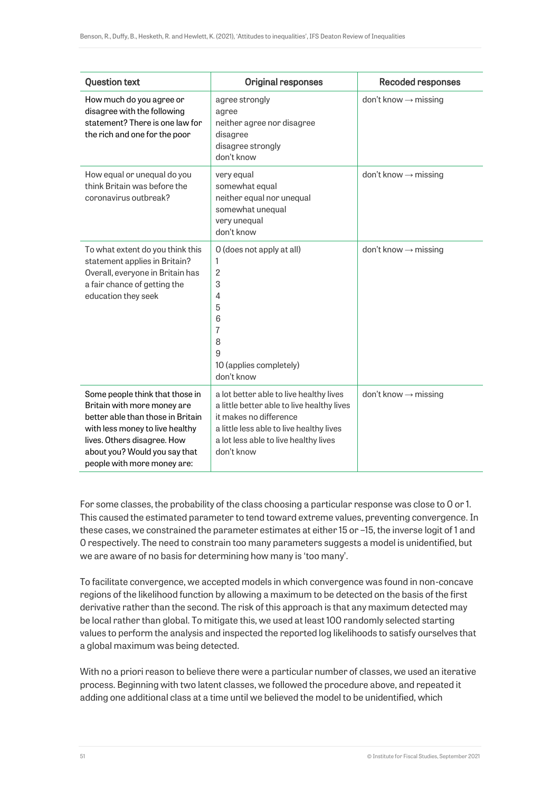| <b>Question text</b>                                                                                                                                                                                                                  | Original responses                                                                                                                                                                                                 | <b>Recoded responses</b>         |
|---------------------------------------------------------------------------------------------------------------------------------------------------------------------------------------------------------------------------------------|--------------------------------------------------------------------------------------------------------------------------------------------------------------------------------------------------------------------|----------------------------------|
| How much do you agree or<br>disagree with the following<br>statement? There is one law for<br>the rich and one for the poor                                                                                                           | agree strongly<br>agree<br>neither agree nor disagree<br>disagree<br>disagree strongly<br>don't know                                                                                                               | don't know $\rightarrow$ missing |
| How equal or unequal do you<br>think Britain was before the<br>coronavirus outbreak?                                                                                                                                                  | very equal<br>somewhat equal<br>neither equal nor unequal<br>somewhat unequal<br>very unequal<br>don't know                                                                                                        | don't know $\rightarrow$ missing |
| To what extent do you think this<br>statement applies in Britain?<br>Overall, everyone in Britain has<br>a fair chance of getting the<br>education they seek                                                                          | O (does not apply at all)<br>1<br>$\overline{2}$<br>3<br>$\overline{4}$<br>5<br>6<br>$\overline{7}$<br>8<br>9<br>10 (applies completely)<br>don't know                                                             | don't know $\rightarrow$ missing |
| Some people think that those in<br>Britain with more money are<br>better able than those in Britain<br>with less money to live healthy<br>lives. Others disagree. How<br>about you? Would you say that<br>people with more money are: | a lot better able to live healthy lives<br>a little better able to live healthy lives<br>it makes no difference<br>a little less able to live healthy lives<br>a lot less able to live healthy lives<br>don't know | don't know $\rightarrow$ missing |

For some classes, the probability of the class choosing a particular response was close to 0 or 1. This caused the estimated parameter to tend toward extreme values, preventing convergence. In these cases, we constrained the parameter estimates at either 15 or –15, the inverse logit of 1 and 0 respectively. The need to constrain too many parameters suggests a model is unidentified, but we are aware of no basis for determining how many is 'too many'.

To facilitate convergence, we accepted models in which convergence was found in non-concave regions of the likelihood function by allowing a maximum to be detected on the basis of the first derivative rather than the second. The risk of this approach is that any maximum detected may be local rather than global. To mitigate this, we used at least 100 randomly selected starting values to perform the analysis and inspected the reported log likelihoods to satisfy ourselves that a global maximum was being detected.

With no a priori reason to believe there were a particular number of classes, we used an iterative process. Beginning with two latent classes, we followed the procedure above, and repeated it adding one additional class at a time until we believed the model to be unidentified, which